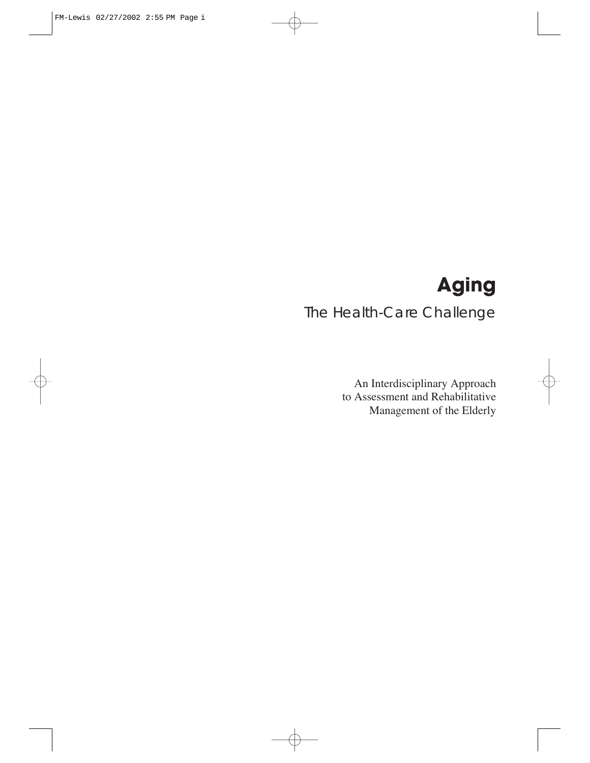# **Aging**

# The Health-Care Challenge

An Interdisciplinary Approach to Assessment and Rehabilitative Management of the Elderly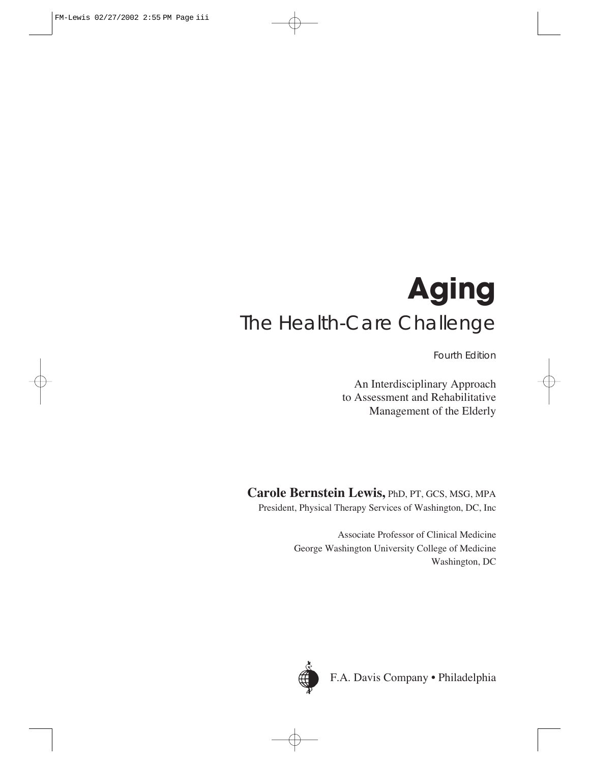# **Aging** The Health-Care Challenge

Fourth Edition

An Interdisciplinary Approach to Assessment and Rehabilitative Management of the Elderly

**Carole Bernstein Lewis,** PhD, PT, GCS, MSG, MPA President, Physical Therapy Services of Washington, DC, Inc

> Associate Professor of Clinical Medicine George Washington University College of Medicine Washington, DC



F.A. Davis Company • Philadelphia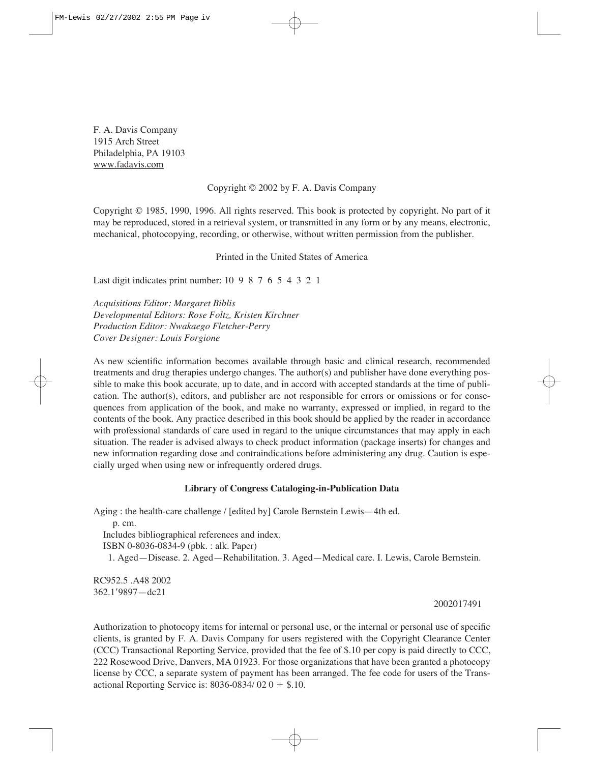F. A. Davis Company 1915 Arch Street Philadelphia, PA 19103 www.fadavis.com

#### Copyright © 2002 by F. A. Davis Company

Copyright © 1985, 1990, 1996. All rights reserved. This book is protected by copyright. No part of it may be reproduced, stored in a retrieval system, or transmitted in any form or by any means, electronic, mechanical, photocopying, recording, or otherwise, without written permission from the publisher.

Printed in the United States of America

Last digit indicates print number: 10 9 8 7 6 5 4 3 2 1

*Acquisitions Editor: Margaret Biblis Developmental Editors: Rose Foltz, Kristen Kirchner Production Editor: Nwakaego Fletcher-Perry Cover Designer: Louis Forgione*

As new scientific information becomes available through basic and clinical research, recommended treatments and drug therapies undergo changes. The author(s) and publisher have done everything possible to make this book accurate, up to date, and in accord with accepted standards at the time of publication. The author(s), editors, and publisher are not responsible for errors or omissions or for consequences from application of the book, and make no warranty, expressed or implied, in regard to the contents of the book. Any practice described in this book should be applied by the reader in accordance with professional standards of care used in regard to the unique circumstances that may apply in each situation. The reader is advised always to check product information (package inserts) for changes and new information regarding dose and contraindications before administering any drug. Caution is especially urged when using new or infrequently ordered drugs.

#### **Library of Congress Cataloging-in-Publication Data**

Aging : the health-care challenge / [edited by] Carole Bernstein Lewis—4th ed. p. cm. Includes bibliographical references and index. ISBN 0-8036-0834-9 (pbk. : alk. Paper) 1. Aged—Disease. 2. Aged—Rehabilitation. 3. Aged—Medical care. I. Lewis, Carole Bernstein.

RC952.5 .A48 2002 362.19897—dc21

#### 2002017491

Authorization to photocopy items for internal or personal use, or the internal or personal use of specific clients, is granted by F. A. Davis Company for users registered with the Copyright Clearance Center (CCC) Transactional Reporting Service, provided that the fee of \$.10 per copy is paid directly to CCC, 222 Rosewood Drive, Danvers, MA 01923. For those organizations that have been granted a photocopy license by CCC, a separate system of payment has been arranged. The fee code for users of the Transactional Reporting Service is:  $8036 - 0834 / 020 + $.10$ .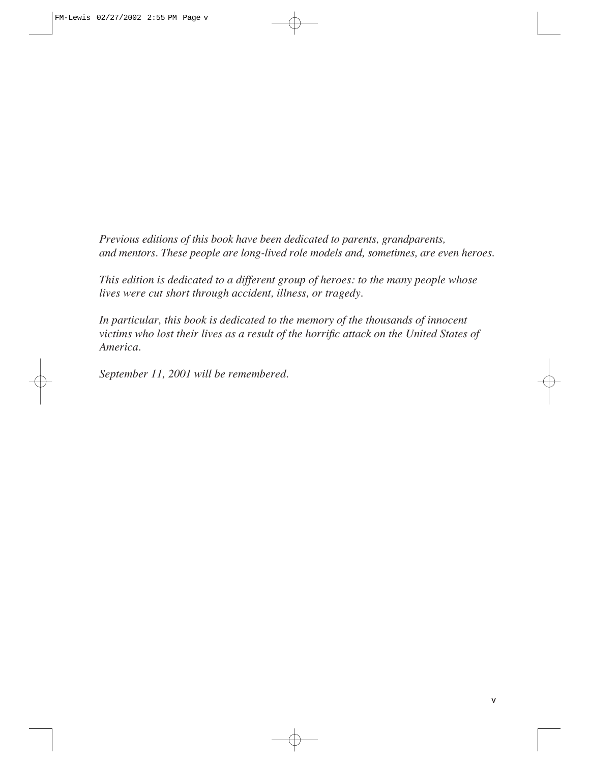*Previous editions of this book have been dedicated to parents, grandparents, and mentors. These people are long-lived role models and, sometimes, are even heroes.*

*This edition is dedicated to a different group of heroes: to the many people whose lives were cut short through accident, illness, or tragedy.* 

*In particular, this book is dedicated to the memory of the thousands of innocent victims who lost their lives as a result of the horrific attack on the United States of America.* 

*September 11, 2001 will be remembered.*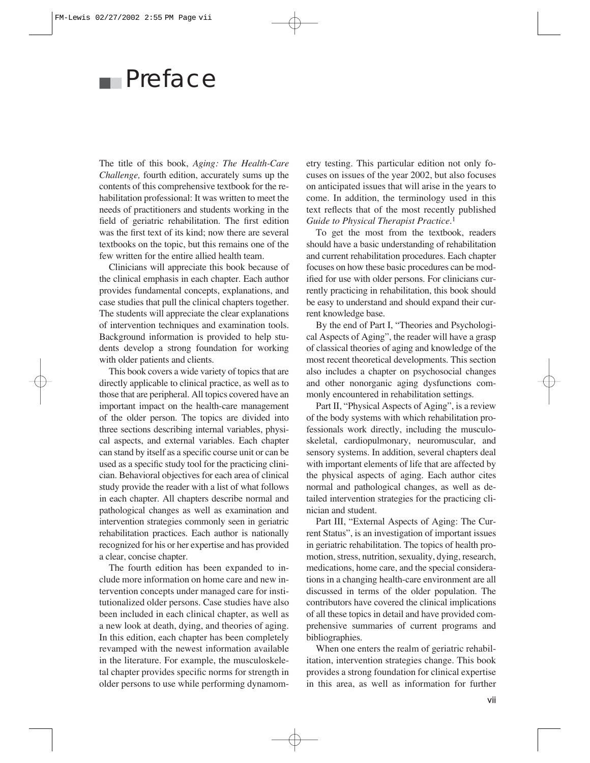# ■■ Preface

The title of this book, *Aging: The Health-Care Challenge,* fourth edition, accurately sums up the contents of this comprehensive textbook for the rehabilitation professional: It was written to meet the needs of practitioners and students working in the field of geriatric rehabilitation. The first edition was the first text of its kind; now there are several textbooks on the topic, but this remains one of the few written for the entire allied health team.

Clinicians will appreciate this book because of the clinical emphasis in each chapter. Each author provides fundamental concepts, explanations, and case studies that pull the clinical chapters together. The students will appreciate the clear explanations of intervention techniques and examination tools. Background information is provided to help students develop a strong foundation for working with older patients and clients.

This book covers a wide variety of topics that are directly applicable to clinical practice, as well as to those that are peripheral. All topics covered have an important impact on the health-care management of the older person. The topics are divided into three sections describing internal variables, physical aspects, and external variables. Each chapter can stand by itself as a specific course unit or can be used as a specific study tool for the practicing clinician. Behavioral objectives for each area of clinical study provide the reader with a list of what follows in each chapter. All chapters describe normal and pathological changes as well as examination and intervention strategies commonly seen in geriatric rehabilitation practices. Each author is nationally recognized for his or her expertise and has provided a clear, concise chapter.

The fourth edition has been expanded to include more information on home care and new intervention concepts under managed care for institutionalized older persons. Case studies have also been included in each clinical chapter, as well as a new look at death, dying, and theories of aging. In this edition, each chapter has been completely revamped with the newest information available in the literature. For example, the musculoskeletal chapter provides specific norms for strength in older persons to use while performing dynamometry testing. This particular edition not only focuses on issues of the year 2002, but also focuses on anticipated issues that will arise in the years to come. In addition, the terminology used in this text reflects that of the most recently published *Guide to Physical Therapist Practice.*<sup>1</sup>

To get the most from the textbook, readers should have a basic understanding of rehabilitation and current rehabilitation procedures. Each chapter focuses on how these basic procedures can be modified for use with older persons. For clinicians currently practicing in rehabilitation, this book should be easy to understand and should expand their current knowledge base.

By the end of Part I, "Theories and Psychological Aspects of Aging", the reader will have a grasp of classical theories of aging and knowledge of the most recent theoretical developments. This section also includes a chapter on psychosocial changes and other nonorganic aging dysfunctions commonly encountered in rehabilitation settings.

Part II, "Physical Aspects of Aging", is a review of the body systems with which rehabilitation professionals work directly, including the musculoskeletal, cardiopulmonary, neuromuscular, and sensory systems. In addition, several chapters deal with important elements of life that are affected by the physical aspects of aging. Each author cites normal and pathological changes, as well as detailed intervention strategies for the practicing clinician and student.

Part III, "External Aspects of Aging: The Current Status", is an investigation of important issues in geriatric rehabilitation. The topics of health promotion, stress, nutrition, sexuality, dying, research, medications, home care, and the special considerations in a changing health-care environment are all discussed in terms of the older population. The contributors have covered the clinical implications of all these topics in detail and have provided comprehensive summaries of current programs and bibliographies.

When one enters the realm of geriatric rehabilitation, intervention strategies change. This book provides a strong foundation for clinical expertise in this area, as well as information for further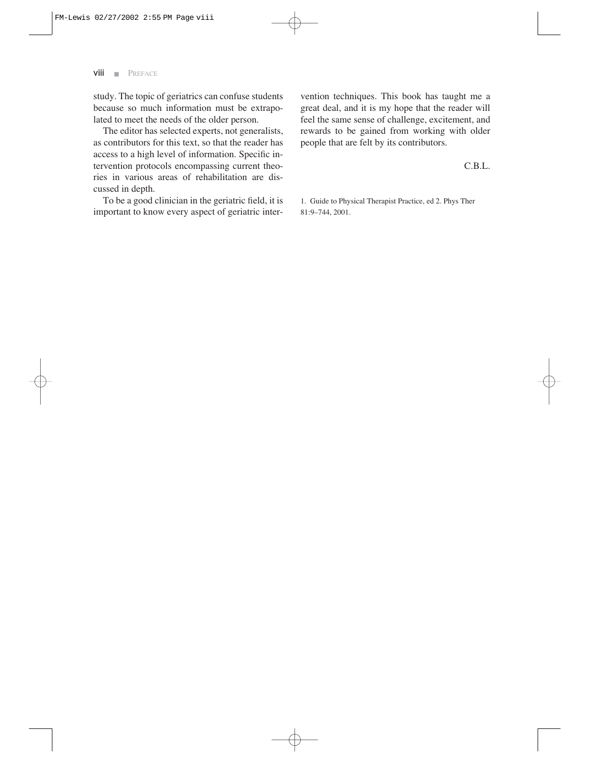study. The topic of geriatrics can confuse students because so much information must be extrapolated to meet the needs of the older person.

The editor has selected experts, not generalists, as contributors for this text, so that the reader has access to a high level of information. Specific intervention protocols encompassing current theories in various areas of rehabilitation are discussed in depth.

To be a good clinician in the geriatric field, it is important to know every aspect of geriatric intervention techniques. This book has taught me a great deal, and it is my hope that the reader will feel the same sense of challenge, excitement, and rewards to be gained from working with older people that are felt by its contributors.

#### C.B.L.

1. Guide to Physical Therapist Practice, ed 2. Phys Ther 81:9–744, 2001.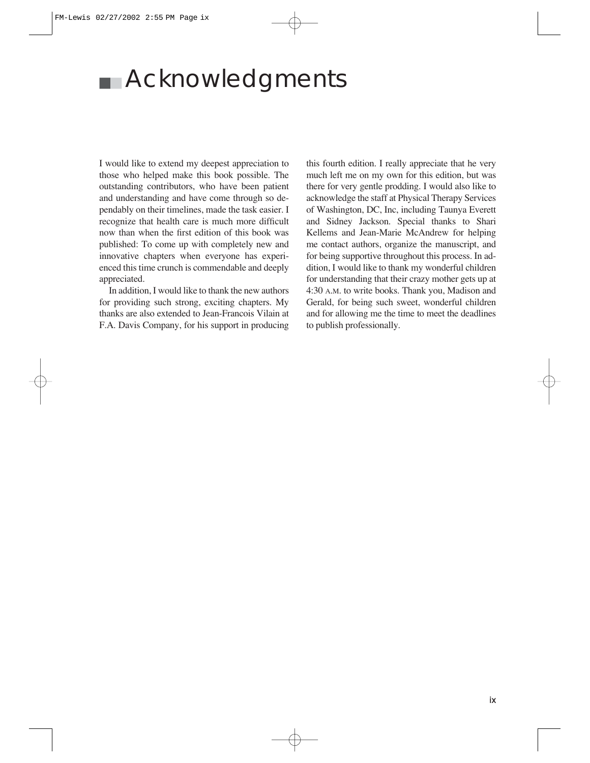# ■■ Acknowledgments

I would like to extend my deepest appreciation to those who helped make this book possible. The outstanding contributors, who have been patient and understanding and have come through so dependably on their timelines, made the task easier. I recognize that health care is much more difficult now than when the first edition of this book was published: To come up with completely new and innovative chapters when everyone has experienced this time crunch is commendable and deeply appreciated.

In addition, I would like to thank the new authors for providing such strong, exciting chapters. My thanks are also extended to Jean-Francois Vilain at F.A. Davis Company, for his support in producing this fourth edition. I really appreciate that he very much left me on my own for this edition, but was there for very gentle prodding. I would also like to acknowledge the staff at Physical Therapy Services of Washington, DC, Inc, including Taunya Everett and Sidney Jackson. Special thanks to Shari Kellems and Jean-Marie McAndrew for helping me contact authors, organize the manuscript, and for being supportive throughout this process. In addition, I would like to thank my wonderful children for understanding that their crazy mother gets up at 4:30 A.M. to write books. Thank you, Madison and Gerald, for being such sweet, wonderful children and for allowing me the time to meet the deadlines to publish professionally.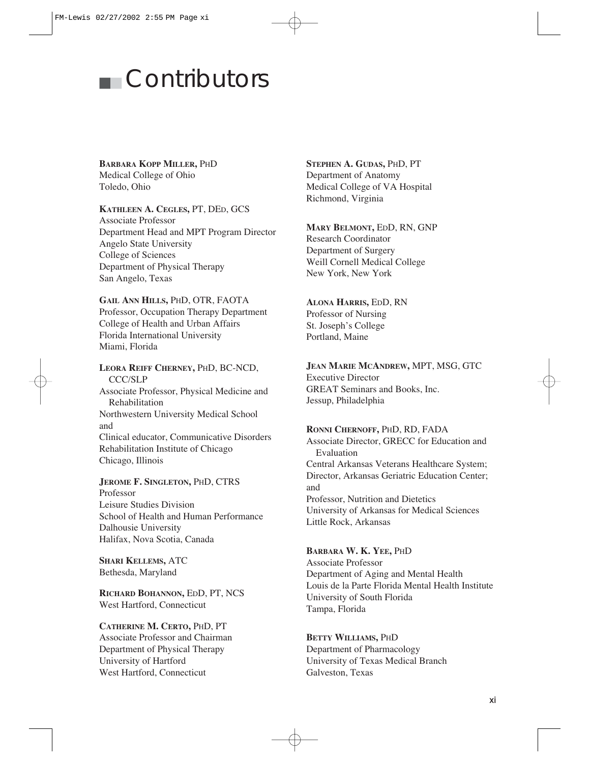# ■■ Contributors

#### **BARBARA KOPP MILLER,** PHD

Medical College of Ohio Toledo, Ohio

#### **KATHLEEN A. CEGLES,** PT, DED, GCS

Associate Professor Department Head and MPT Program Director Angelo State University College of Sciences Department of Physical Therapy San Angelo, Texas

#### **GAIL ANN HILLS,** PHD, OTR, FAOTA

Professor, Occupation Therapy Department College of Health and Urban Affairs Florida International University Miami, Florida

**LEORA REIFF CHERNEY,** PHD, BC-NCD, CCC/SLP Associate Professor, Physical Medicine and Rehabilitation Northwestern University Medical School and Clinical educator, Communicative Disorders Rehabilitation Institute of Chicago Chicago, Illinois

#### **JEROME F. SINGLETON,** PHD, CTRS Professor Leisure Studies Division School of Health and Human Performance Dalhousie University Halifax, Nova Scotia, Canada

**SHARI KELLEMS,** ATC Bethesda, Maryland

**RICHARD BOHANNON,** EDD, PT, NCS West Hartford, Connecticut

#### **CATHERINE M. CERTO,** PHD, PT Associate Professor and Chairman Department of Physical Therapy University of Hartford West Hartford, Connecticut

#### **STEPHEN A. GUDAS,** PHD, PT Department of Anatomy Medical College of VA Hospital Richmond, Virginia

#### **MARY BELMONT,** EDD, RN, GNP

Research Coordinator Department of Surgery Weill Cornell Medical College New York, New York

#### **ALONA HARRIS,** EDD, RN

Professor of Nursing St. Joseph's College Portland, Maine

#### **JEAN MARIE MCANDREW,** MPT, MSG, GTC

Executive Director GREAT Seminars and Books, Inc. Jessup, Philadelphia

#### **RONNI CHERNOFF,** PHD, RD, FADA

Associate Director, GRECC for Education and Evaluation Central Arkansas Veterans Healthcare System; Director, Arkansas Geriatric Education Center; and Professor, Nutrition and Dietetics University of Arkansas for Medical Sciences Little Rock, Arkansas

#### **BARBARA W. K. YEE,** PHD

Associate Professor Department of Aging and Mental Health Louis de la Parte Florida Mental Health Institute University of South Florida Tampa, Florida

#### **BETTY WILLIAMS,** PHD

Department of Pharmacology University of Texas Medical Branch Galveston, Texas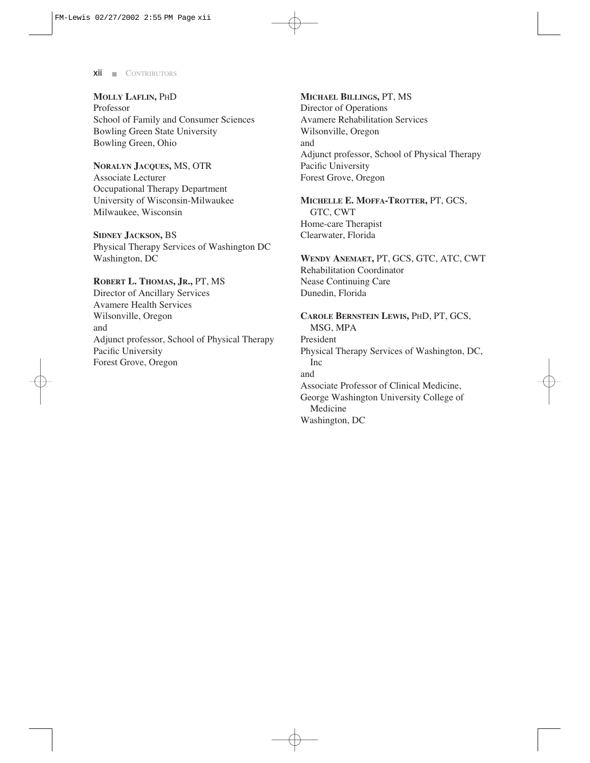**MOLLY LAFLIN,** PHD Professor School of Family and Consumer Sciences Bowling Green State University Bowling Green, Ohio

**NORALYN JACQUES,** MS, OTR Associate Lecturer Occupational Therapy Department University of Wisconsin-Milwaukee Milwaukee, Wisconsin

**SIDNEY JACKSON,** BS Physical Therapy Services of Washington DC Washington, DC

**ROBERT L. THOMAS, JR.,** PT, MS Director of Ancillary Services Avamere Health Services Wilsonville, Oregon and Adjunct professor, School of Physical Therapy Pacific University Forest Grove, Oregon

**MICHAEL BILLINGS,** PT, MS Director of Operations Avamere Rehabilitation Services Wilsonville, Oregon and Adjunct professor, School of Physical Therapy Pacific University Forest Grove, Oregon

**MICHELLE E. MOFFA-TROTTER,** PT, GCS, GTC, CWT Home-care Therapist Clearwater, Florida

**WENDY ANEMAET,** PT, GCS, GTC, ATC, CWT Rehabilitation Coordinator Nease Continuing Care Dunedin, Florida

**CAROLE BERNSTEIN LEWIS,** PHD, PT, GCS, MSG, MPA President Physical Therapy Services of Washington, DC, Inc and Associate Professor of Clinical Medicine, George Washington University College of Medicine Washington, DC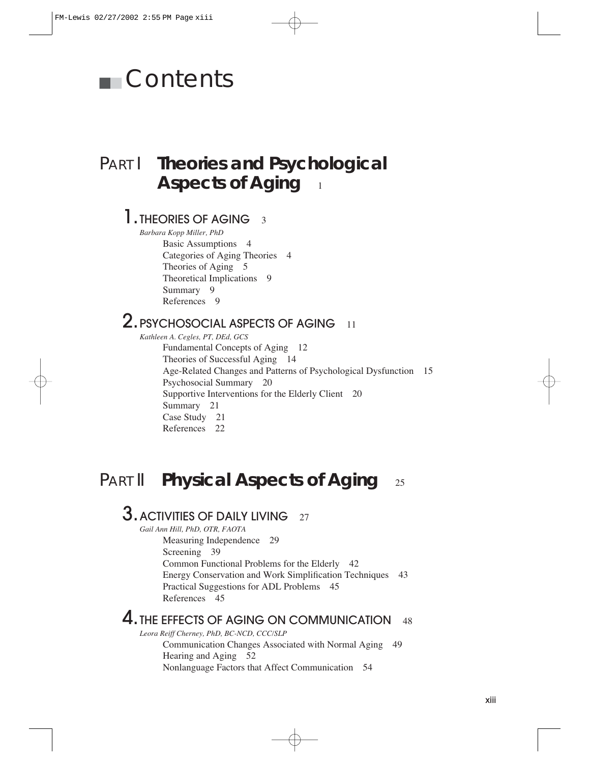# ■■ Contents

# PART I **Theories and Psychological Aspects of Aging**

### 1. THEORIES OF AGING 3

*Barbara Kopp Miller, PhD* Basic Assumptions 4 Categories of Aging Theories 4 Theories of Aging 5 Theoretical Implications 9 Summary 9 References 9

### 2. PSYCHOSOCIAL ASPECTS OF AGING 11

*Kathleen A. Cegles, PT, DEd, GCS* Fundamental Concepts of Aging 12 Theories of Successful Aging 14 Age-Related Changes and Patterns of Psychological Dysfunction 15 Psychosocial Summary 20 Supportive Interventions for the Elderly Client 20 Summary 21 Case Study 21 References 22

## PART II **Physical Aspects of Aging** 25

## **3.** ACTIVITIES OF DAILY LIVING 27

*Gail Ann Hill, PhD, OTR, FAOTA*

Measuring Independence 29 Screening 39 Common Functional Problems for the Elderly 42 Energy Conservation and Work Simplification Techniques 43 Practical Suggestions for ADL Problems 45 References 45

### 4. THE EFFECTS OF AGING ON COMMUNICATION 48

*Leora Reiff Cherney, PhD, BC-NCD, CCC/SLP* Communication Changes Associated with Normal Aging 49 Hearing and Aging 52 Nonlanguage Factors that Affect Communication 54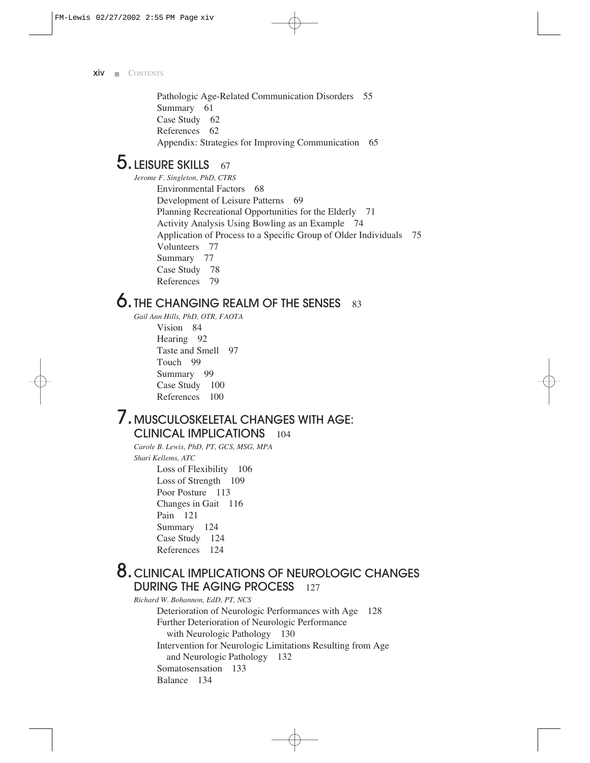Pathologic Age-Related Communication Disorders 55 Summary 61 Case Study 62 References 62 Appendix: Strategies for Improving Communication 65

### $5.$  LEISURE SKILLS  $67$

*Jerome F. Singleton, PhD, CTRS* Environmental Factors 68 Development of Leisure Patterns 69 Planning Recreational Opportunities for the Elderly 71 Activity Analysis Using Bowling as an Example 74 Application of Process to a Specific Group of Older Individuals 75 Volunteers 77 Summary 77 Case Study 78 References 79

### **6. THE CHANGING REALM OF THE SENSES** 83

*Gail Ann Hills, PhD, OTR, FAOTA*

Vision 84 Hearing 92 Taste and Smell 97 Touch 99 Summary 99 Case Study 100 References 100

### 7.MUSCULOSKELETAL CHANGES WITH AGE: CLINICAL IMPLICATIONS 104

*Carole B. Lewis, PhD, PT, GCS, MSG, MPA Shari Kellems, ATC* Loss of Flexibility 106 Loss of Strength 109 Poor Posture 113 Changes in Gait 116 Pain 121 Summary 124 Case Study 124 References 124

### 8.CLINICAL IMPLICATIONS OF NEUROLOGIC CHANGES DURING THE AGING PROCESS 127

*Richard W. Bohannon, EdD, PT, NCS* Deterioration of Neurologic Performances with Age 128 Further Deterioration of Neurologic Performance with Neurologic Pathology 130 Intervention for Neurologic Limitations Resulting from Age and Neurologic Pathology 132 Somatosensation 133 Balance 134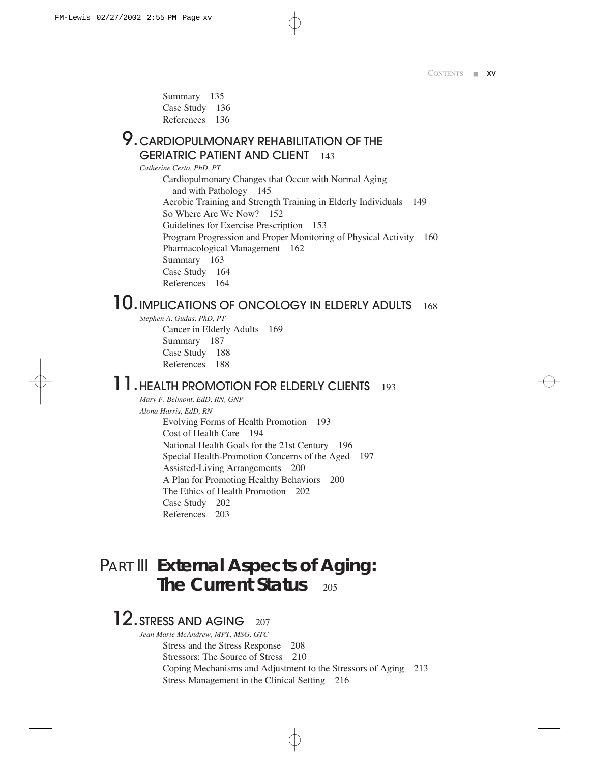Summary 135 Case Study 136 References 136

### **9. CARDIOPULMONARY REHABILITATION OF THE** GERIATRIC PATIENT AND CLIENT 143

*Catherine Certo, PhD, PT*

Cardiopulmonary Changes that Occur with Normal Aging and with Pathology 145 Aerobic Training and Strength Training in Elderly Individuals 149 So Where Are We Now? 152 Guidelines for Exercise Prescription 153 Program Progression and Proper Monitoring of Physical Activity 160 Pharmacological Management 162 Summary 163 Case Study 164 References 164

# 10. IMPLICATIONS OF ONCOLOGY IN ELDERLY ADULTS 168

*Stephen A. Gudas, PhD, PT* 

Cancer in Elderly Adults 169 Summary 187 Case Study 188 References 188

### 11. HEALTH PROMOTION FOR ELDERLY CLIENTS 193

*Mary F. Belmont, EdD, RN, GNP Alona Harris, EdD, RN* Evolving Forms of Health Promotion 193 Cost of Health Care 194 National Health Goals for the 21st Century 196 Special Health-Promotion Concerns of the Aged 197 Assisted-Living Arrangements 200 A Plan for Promoting Healthy Behaviors 200 The Ethics of Health Promotion 202 Case Study 202 References 203

## PART III **External Aspects of Aging: The Current Status** 205

### 12. STRESS AND AGING 207

*Jean Marie McAndrew, MPT, MSG, GTC* Stress and the Stress Response 208 Stressors: The Source of Stress 210 Coping Mechanisms and Adjustment to the Stressors of Aging 213 Stress Management in the Clinical Setting 216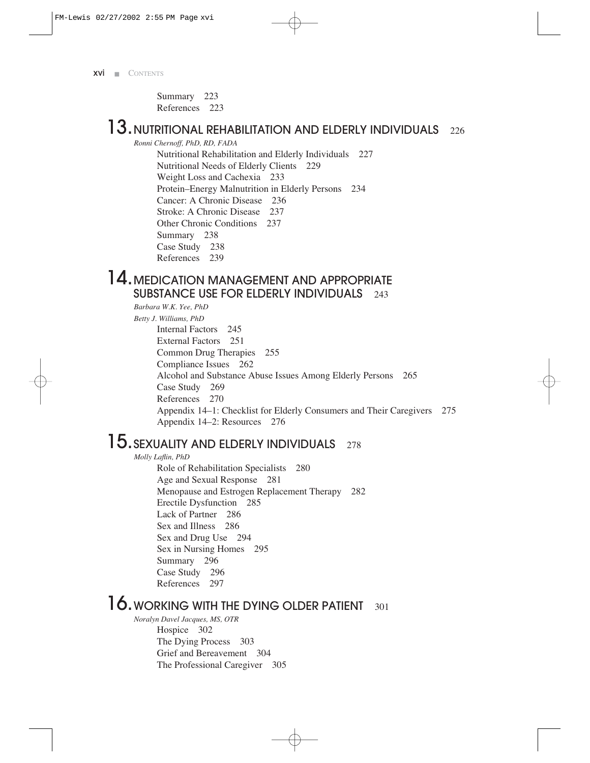Summary 223 References 223

# 13. NUTRITIONAL REHABILITATION AND ELDERLY INDIVIDUALS 226

*Ronni Chernoff, PhD, RD, FADA* Nutritional Rehabilitation and Elderly Individuals 227 Nutritional Needs of Elderly Clients 229 Weight Loss and Cachexia 233 Protein–Energy Malnutrition in Elderly Persons 234 Cancer: A Chronic Disease 236 Stroke: A Chronic Disease 237 Other Chronic Conditions 237 Summary 238 Case Study 238 References 239

### 14. MEDICATION MANAGEMENT AND APPROPRIATE SUBSTANCE USE FOR ELDERLY INDIVIDUALS 243

*Barbara W.K. Yee, PhD Betty J. Williams, PhD* Internal Factors 245 External Factors 251 Common Drug Therapies 255 Compliance Issues 262 Alcohol and Substance Abuse Issues Among Elderly Persons 265 Case Study 269 References 270 Appendix 14–1: Checklist for Elderly Consumers and Their Caregivers 275 Appendix 14–2: Resources 276

# 15. SEXUALITY AND ELDERLY INDIVIDUALS 278

*Molly Laflin, PhD*

Role of Rehabilitation Specialists 280 Age and Sexual Response 281 Menopause and Estrogen Replacement Therapy 282 Erectile Dysfunction 285 Lack of Partner 286 Sex and Illness 286 Sex and Drug Use 294 Sex in Nursing Homes 295 Summary 296 Case Study 296 References 297

# 16. WORKING WITH THE DYING OLDER PATIENT 301

*Noralyn Davel Jacques, MS, OTR* Hospice 302 The Dying Process 303 Grief and Bereavement 304 The Professional Caregiver 305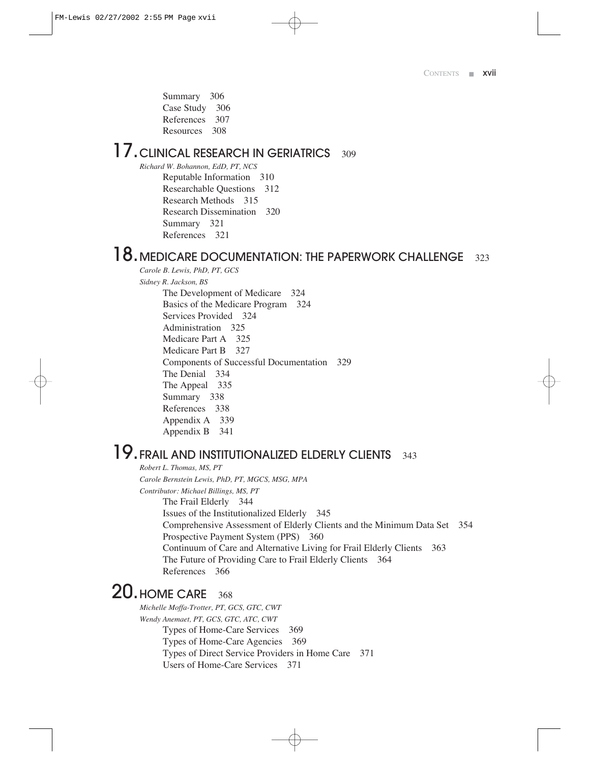Summary 306 Case Study 306 References 307 Resources 308

# 17. CLINICAL RESEARCH IN GERIATRICS 309

*Richard W. Bohannon, EdD, PT, NCS* Reputable Information 310 Researchable Questions 312 Research Methods 315 Research Dissemination 320 Summary 321 References 321

### $18.$  MEDICARE DOCUMENTATION: THE PAPERWORK CHALLENGE 323

*Carole B. Lewis, PhD, PT, GCS* 

*Sidney R. Jackson, BS*

The Development of Medicare 324 Basics of the Medicare Program 324 Services Provided 324 Administration 325 Medicare Part A 325 Medicare Part B 327 Components of Successful Documentation 329 The Denial 334 The Appeal 335 Summary 338 References 338 Appendix A 339 Appendix B 341

# 19. FRAIL AND INSTITUTIONALIZED ELDERLY CLIENTS 343

*Robert L. Thomas, MS, PT Carole Bernstein Lewis, PhD, PT, MGCS, MSG, MPA Contributor: Michael Billings, MS, PT* The Frail Elderly 344 Issues of the Institutionalized Elderly 345 Comprehensive Assessment of Elderly Clients and the Minimum Data Set 354 Prospective Payment System (PPS) 360 Continuum of Care and Alternative Living for Frail Elderly Clients 363 The Future of Providing Care to Frail Elderly Clients 364 References 366

## 20. HOME CARE 368

*Michelle Moffa-Trotter, PT, GCS, GTC, CWT Wendy Anemaet, PT, GCS, GTC, ATC, CWT* Types of Home-Care Services 369 Types of Home-Care Agencies 369 Types of Direct Service Providers in Home Care 371 Users of Home-Care Services 371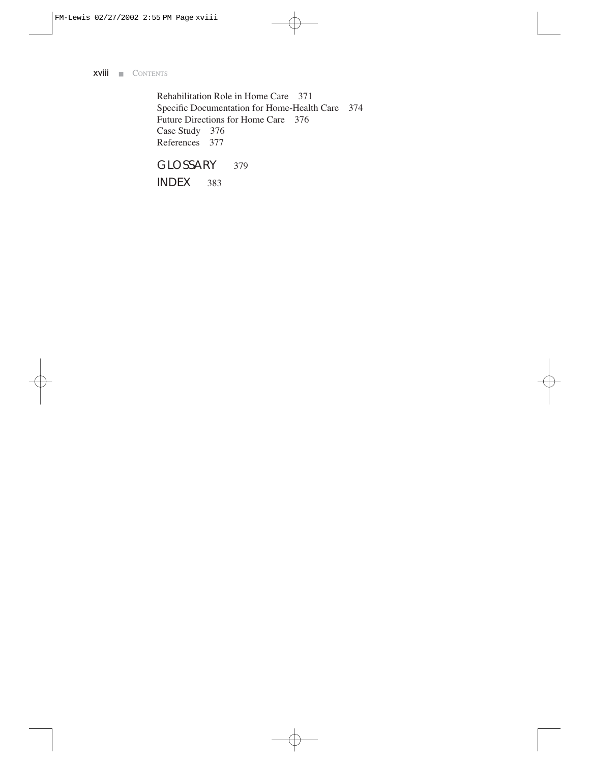Rehabilitation Role in Home Care 371 Specific Documentation for Home-Health Care 374 Future Directions for Home Care 376 Case Study 376 References 377

GLOSSARY 379

INDEX 383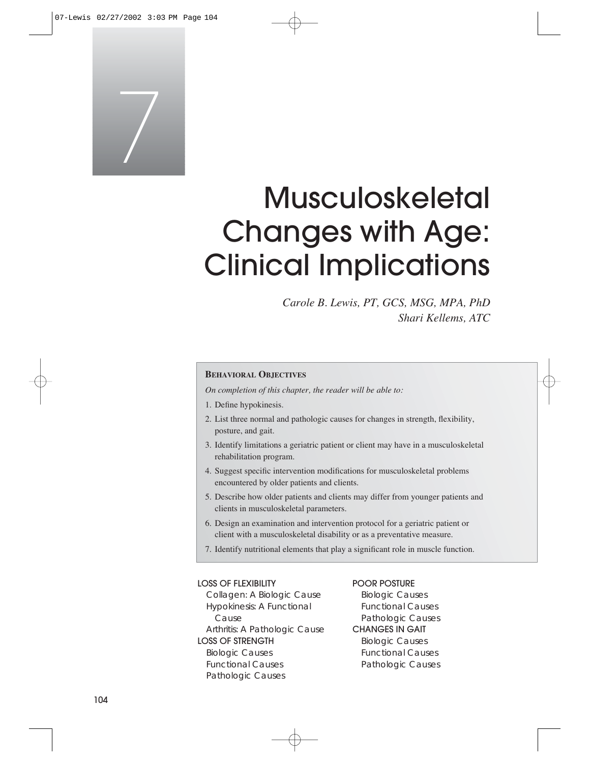

# Musculoskeletal Changes with Age: Clinical Implications

*Carole B. Lewis, PT, GCS, MSG, MPA, PhD Shari Kellems, ATC*

#### **BEHAVIORAL OBJECTIVES**

*On completion of this chapter, the reader will be able to:*

- 1. Define hypokinesis.
- 2. List three normal and pathologic causes for changes in strength, flexibility, posture, and gait.
- 3. Identify limitations a geriatric patient or client may have in a musculoskeletal rehabilitation program.
- 4. Suggest specific intervention modifications for musculoskeletal problems encountered by older patients and clients.
- 5. Describe how older patients and clients may differ from younger patients and clients in musculoskeletal parameters.
- 6. Design an examination and intervention protocol for a geriatric patient or client with a musculoskeletal disability or as a preventative measure.
- 7. Identify nutritional elements that play a significant role in muscle function.

#### LOSS OF FLEXIBILITY

Collagen: A Biologic Cause Hypokinesis: A Functional Cause Arthritis: A Pathologic Cause LOSS OF STRENGTH Biologic Causes Functional Causes Pathologic Causes

#### POOR POSTURE

Biologic Causes Functional Causes Pathologic Causes CHANGES IN GAIT Biologic Causes Functional Causes Pathologic Causes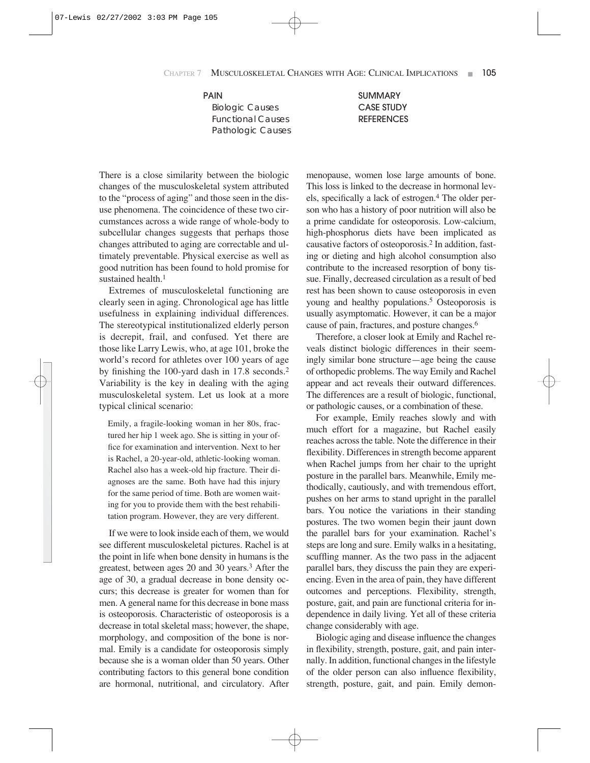#### PAIN

Biologic Causes Functional Causes Pathologic Causes SUMMARY CASE STUDY **REFERENCES** 

There is a close similarity between the biologic changes of the musculoskeletal system attributed to the "process of aging" and those seen in the disuse phenomena. The coincidence of these two circumstances across a wide range of whole-body to subcellular changes suggests that perhaps those changes attributed to aging are correctable and ultimately preventable. Physical exercise as well as good nutrition has been found to hold promise for sustained health.<sup>1</sup>

Extremes of musculoskeletal functioning are clearly seen in aging. Chronological age has little usefulness in explaining individual differences. The stereotypical institutionalized elderly person is decrepit, frail, and confused. Yet there are those like Larry Lewis, who, at age 101, broke the world's record for athletes over 100 years of age by finishing the 100-yard dash in 17.8 seconds.2 Variability is the key in dealing with the aging musculoskeletal system. Let us look at a more typical clinical scenario:

Emily, a fragile-looking woman in her 80s, fractured her hip 1 week ago. She is sitting in your office for examination and intervention. Next to her is Rachel, a 20-year-old, athletic-looking woman. Rachel also has a week-old hip fracture. Their diagnoses are the same. Both have had this injury for the same period of time. Both are women waiting for you to provide them with the best rehabilitation program. However, they are very different.

If we were to look inside each of them, we would see different musculoskeletal pictures. Rachel is at the point in life when bone density in humans is the greatest, between ages 20 and 30 years.3 After the age of 30, a gradual decrease in bone density occurs; this decrease is greater for women than for men. A general name for this decrease in bone mass is osteoporosis. Characteristic of osteoporosis is a decrease in total skeletal mass; however, the shape, morphology, and composition of the bone is normal. Emily is a candidate for osteoporosis simply because she is a woman older than 50 years. Other contributing factors to this general bone condition are hormonal, nutritional, and circulatory. After menopause, women lose large amounts of bone. This loss is linked to the decrease in hormonal levels, specifically a lack of estrogen.4 The older person who has a history of poor nutrition will also be a prime candidate for osteoporosis. Low-calcium, high-phosphorus diets have been implicated as causative factors of osteoporosis.2 In addition, fasting or dieting and high alcohol consumption also contribute to the increased resorption of bony tissue. Finally, decreased circulation as a result of bed rest has been shown to cause osteoporosis in even young and healthy populations.<sup>5</sup> Osteoporosis is usually asymptomatic. However, it can be a major cause of pain, fractures, and posture changes.6

Therefore, a closer look at Emily and Rachel reveals distinct biologic differences in their seemingly similar bone structure—age being the cause of orthopedic problems. The way Emily and Rachel appear and act reveals their outward differences. The differences are a result of biologic, functional, or pathologic causes, or a combination of these.

For example, Emily reaches slowly and with much effort for a magazine, but Rachel easily reaches across the table. Note the difference in their flexibility. Differences in strength become apparent when Rachel jumps from her chair to the upright posture in the parallel bars. Meanwhile, Emily methodically, cautiously, and with tremendous effort, pushes on her arms to stand upright in the parallel bars. You notice the variations in their standing postures. The two women begin their jaunt down the parallel bars for your examination. Rachel's steps are long and sure. Emily walks in a hesitating, scuffling manner. As the two pass in the adjacent parallel bars, they discuss the pain they are experiencing. Even in the area of pain, they have different outcomes and perceptions. Flexibility, strength, posture, gait, and pain are functional criteria for independence in daily living. Yet all of these criteria change considerably with age.

Biologic aging and disease influence the changes in flexibility, strength, posture, gait, and pain internally. In addition, functional changes in the lifestyle of the older person can also influence flexibility, strength, posture, gait, and pain. Emily demon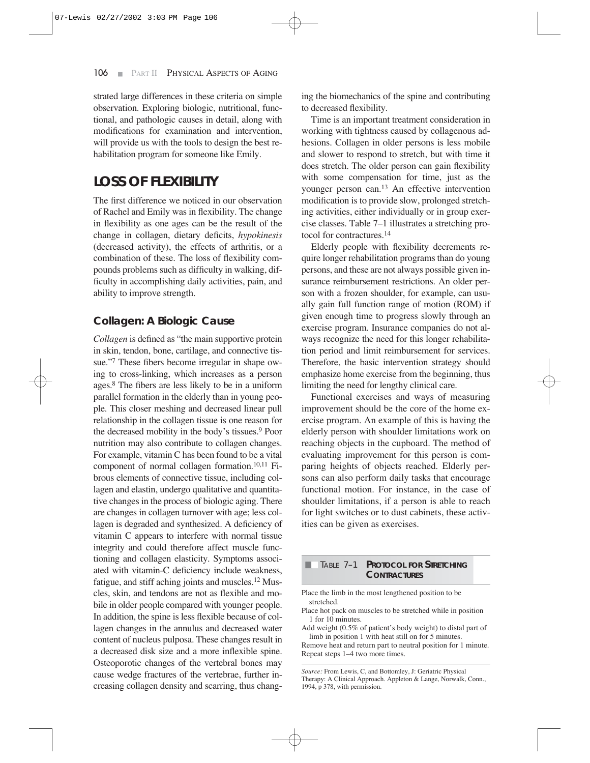strated large differences in these criteria on simple observation. Exploring biologic, nutritional, functional, and pathologic causes in detail, along with modifications for examination and intervention, will provide us with the tools to design the best rehabilitation program for someone like Emily.

### **LOSS OF FLEXIBILITY**

The first difference we noticed in our observation of Rachel and Emily was in flexibility. The change in flexibility as one ages can be the result of the change in collagen, dietary deficits, *hypokinesis* (decreased activity), the effects of arthritis, or a combination of these. The loss of flexibility compounds problems such as difficulty in walking, difficulty in accomplishing daily activities, pain, and ability to improve strength.

#### **Collagen: A Biologic Cause**

*Collagen* is defined as "the main supportive protein in skin, tendon, bone, cartilage, and connective tissue."7 These fibers become irregular in shape owing to cross-linking, which increases as a person ages.8 The fibers are less likely to be in a uniform parallel formation in the elderly than in young people. This closer meshing and decreased linear pull relationship in the collagen tissue is one reason for the decreased mobility in the body's tissues.9 Poor nutrition may also contribute to collagen changes. For example, vitamin C has been found to be a vital component of normal collagen formation.10,11 Fibrous elements of connective tissue, including collagen and elastin, undergo qualitative and quantitative changes in the process of biologic aging. There are changes in collagen turnover with age; less collagen is degraded and synthesized. A deficiency of vitamin C appears to interfere with normal tissue integrity and could therefore affect muscle functioning and collagen elasticity. Symptoms associated with vitamin-C deficiency include weakness, fatigue, and stiff aching joints and muscles.12 Muscles, skin, and tendons are not as flexible and mobile in older people compared with younger people. In addition, the spine is less flexible because of collagen changes in the annulus and decreased water content of nucleus pulposa. These changes result in a decreased disk size and a more inflexible spine. Osteoporotic changes of the vertebral bones may cause wedge fractures of the vertebrae, further increasing collagen density and scarring, thus changing the biomechanics of the spine and contributing to decreased flexibility.

Time is an important treatment consideration in working with tightness caused by collagenous adhesions. Collagen in older persons is less mobile and slower to respond to stretch, but with time it does stretch. The older person can gain flexibility with some compensation for time, just as the younger person can.13 An effective intervention modification is to provide slow, prolonged stretching activities, either individually or in group exercise classes. Table 7–1 illustrates a stretching protocol for contractures.14

Elderly people with flexibility decrements require longer rehabilitation programs than do young persons, and these are not always possible given insurance reimbursement restrictions. An older person with a frozen shoulder, for example, can usually gain full function range of motion (ROM) if given enough time to progress slowly through an exercise program. Insurance companies do not always recognize the need for this longer rehabilitation period and limit reimbursement for services. Therefore, the basic intervention strategy should emphasize home exercise from the beginning, thus limiting the need for lengthy clinical care.

Functional exercises and ways of measuring improvement should be the core of the home exercise program. An example of this is having the elderly person with shoulder limitations work on reaching objects in the cupboard. The method of evaluating improvement for this person is comparing heights of objects reached. Elderly persons can also perform daily tasks that encourage functional motion. For instance, in the case of shoulder limitations, if a person is able to reach for light switches or to dust cabinets, these activities can be given as exercises.

#### TABLE 7-1 **PROTOCOL FOR STRETCHING CONTRACTURES**

- Place the limb in the most lengthened position to be stretched.
- Place hot pack on muscles to be stretched while in position 1 for 10 minutes.
- Add weight (0.5% of patient's body weight) to distal part of limb in position 1 with heat still on for 5 minutes.

Remove heat and return part to neutral position for 1 minute. Repeat steps 1–4 two more times.

*Source:* From Lewis, C, and Bottomley, J: Geriatric Physical Therapy: A Clinical Approach. Appleton & Lange, Norwalk, Conn., 1994, p 378, with permission.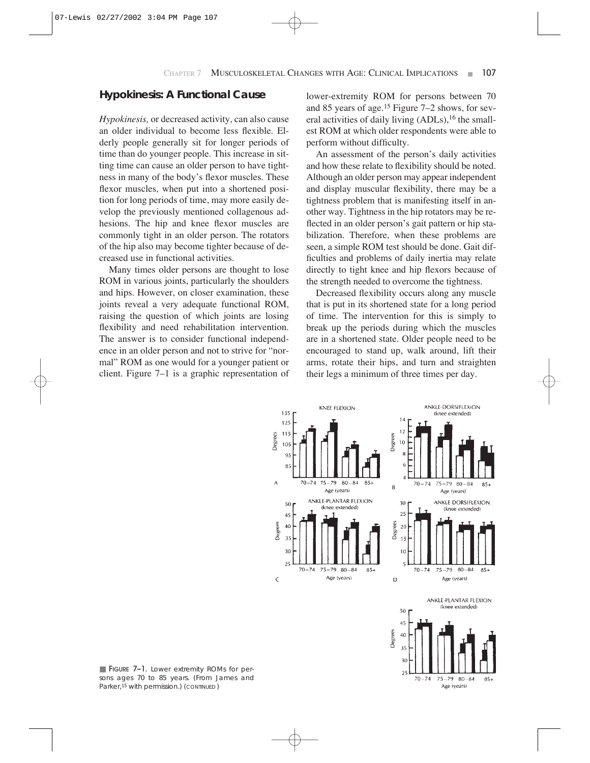#### **Hypokinesis: A Functional Cause**

*Hypokinesis,* or decreased activity, can also cause an older individual to become less flexible. Elderly people generally sit for longer periods of time than do younger people. This increase in sitting time can cause an older person to have tightness in many of the body's flexor muscles. These flexor muscles, when put into a shortened position for long periods of time, may more easily develop the previously mentioned collagenous adhesions. The hip and knee flexor muscles are commonly tight in an older person. The rotators of the hip also may become tighter because of decreased use in functional activities.

Many times older persons are thought to lose ROM in various joints, particularly the shoulders and hips. However, on closer examination, these joints reveal a very adequate functional ROM, raising the question of which joints are losing flexibility and need rehabilitation intervention. The answer is to consider functional independence in an older person and not to strive for "normal" ROM as one would for a younger patient or client. Figure 7–1 is a graphic representation of lower-extremity ROM for persons between 70 and 85 years of age.15 Figure 7–2 shows, for several activities of daily living (ADLs),<sup>16</sup> the smallest ROM at which older respondents were able to perform without difficulty.

An assessment of the person's daily activities and how these relate to flexibility should be noted. Although an older person may appear independent and display muscular flexibility, there may be a tightness problem that is manifesting itself in another way. Tightness in the hip rotators may be reflected in an older person's gait pattern or hip stabilization. Therefore, when these problems are seen, a simple ROM test should be done. Gait difficulties and problems of daily inertia may relate directly to tight knee and hip flexors because of the strength needed to overcome the tightness.

Decreased flexibility occurs along any muscle that is put in its shortened state for a long period of time. The intervention for this is simply to break up the periods during which the muscles are in a shortened state. Older people need to be encouraged to stand up, walk around, lift their arms, rotate their hips, and turn and straighten their legs a minimum of three times per day.



■ FIGURE 7-1. Lower extremity ROMs for persons ages 70 to 85 years. (From James and Parker,15 with permission.) (*CONTINUED* )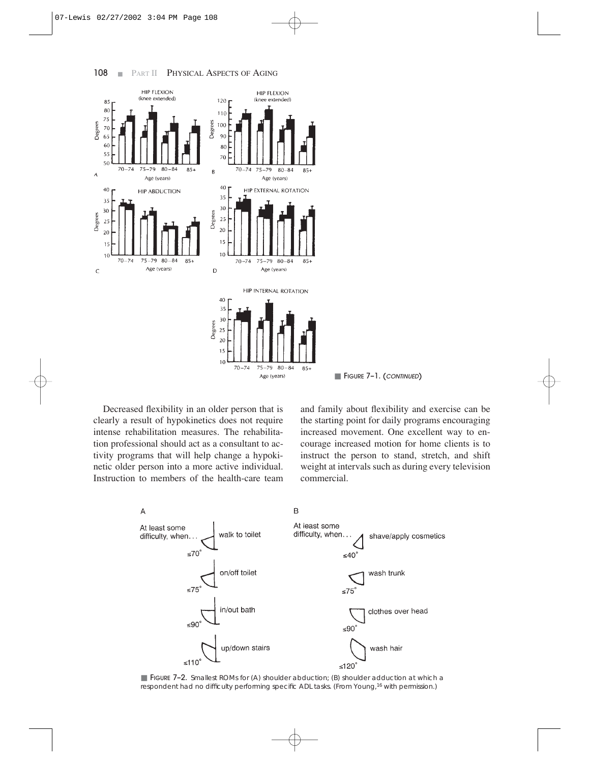

**FIGURE 7-1. (CONTINUED)** 

Decreased flexibility in an older person that is clearly a result of hypokinetics does not require intense rehabilitation measures. The rehabilitation professional should act as a consultant to activity programs that will help change a hypokinetic older person into a more active individual. Instruction to members of the health-care team and family about flexibility and exercise can be the starting point for daily programs encouraging increased movement. One excellent way to encourage increased motion for home clients is to instruct the person to stand, stretch, and shift weight at intervals such as during every television commercial.



■ FIGURE 7-2. Smallest ROMs for (A) shoulder abduction; (B) shoulder adduction at which a respondent had no difficulty performing specific ADL tasks. (From Young,16 with permission.)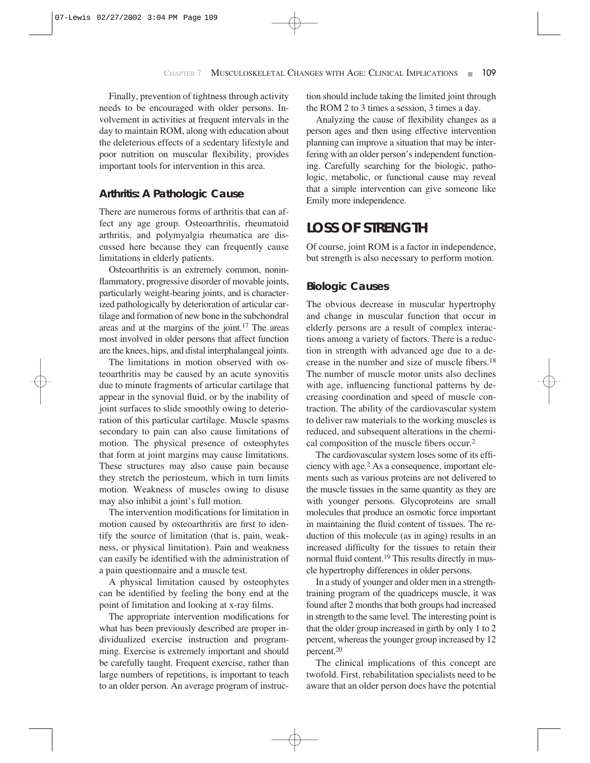Finally, prevention of tightness through activity needs to be encouraged with older persons. Involvement in activities at frequent intervals in the day to maintain ROM, along with education about the deleterious effects of a sedentary lifestyle and poor nutrition on muscular flexibility, provides important tools for intervention in this area.

#### **Arthritis: A Pathologic Cause**

There are numerous forms of arthritis that can affect any age group. Osteoarthritis, rheumatoid arthritis, and polymyalgia rheumatica are discussed here because they can frequently cause limitations in elderly patients.

Osteoarthritis is an extremely common, noninflammatory, progressive disorder of movable joints, particularly weight-bearing joints, and is characterized pathologically by deterioration of articular cartilage and formation of new bone in the subchondral areas and at the margins of the joint.17 The areas most involved in older persons that affect function are the knees, hips, and distal interphalangeal joints.

The limitations in motion observed with osteoarthritis may be caused by an acute synovitis due to minute fragments of articular cartilage that appear in the synovial fluid, or by the inability of joint surfaces to slide smoothly owing to deterioration of this particular cartilage. Muscle spasms secondary to pain can also cause limitations of motion. The physical presence of osteophytes that form at joint margins may cause limitations. These structures may also cause pain because they stretch the periosteum, which in turn limits motion. Weakness of muscles owing to disuse may also inhibit a joint's full motion.

The intervention modifications for limitation in motion caused by osteoarthritis are first to identify the source of limitation (that is, pain, weakness, or physical limitation). Pain and weakness can easily be identified with the administration of a pain questionnaire and a muscle test.

A physical limitation caused by osteophytes can be identified by feeling the bony end at the point of limitation and looking at x-ray films.

The appropriate intervention modifications for what has been previously described are proper individualized exercise instruction and programming. Exercise is extremely important and should be carefully taught. Frequent exercise, rather than large numbers of repetitions, is important to teach to an older person. An average program of instruction should include taking the limited joint through the ROM 2 to 3 times a session, 3 times a day.

Analyzing the cause of flexibility changes as a person ages and then using effective intervention planning can improve a situation that may be interfering with an older person's independent functioning. Carefully searching for the biologic, pathologic, metabolic, or functional cause may reveal that a simple intervention can give someone like Emily more independence.

### **LOSS OF STRENGTH**

Of course, joint ROM is a factor in independence, but strength is also necessary to perform motion.

#### **Biologic Causes**

The obvious decrease in muscular hypertrophy and change in muscular function that occur in elderly persons are a result of complex interactions among a variety of factors. There is a reduction in strength with advanced age due to a decrease in the number and size of muscle fibers.18 The number of muscle motor units also declines with age, influencing functional patterns by decreasing coordination and speed of muscle contraction. The ability of the cardiovascular system to deliver raw materials to the working muscles is reduced, and subsequent alterations in the chemical composition of the muscle fibers occur.2

The cardiovascular system loses some of its efficiency with age.2 As a consequence, important elements such as various proteins are not delivered to the muscle tissues in the same quantity as they are with younger persons. Glycoproteins are small molecules that produce an osmotic force important in maintaining the fluid content of tissues. The reduction of this molecule (as in aging) results in an increased difficulty for the tissues to retain their normal fluid content.<sup>19</sup> This results directly in muscle hypertrophy differences in older persons.

In a study of younger and older men in a strengthtraining program of the quadriceps muscle, it was found after 2 months that both groups had increased in strength to the same level. The interesting point is that the older group increased in girth by only 1 to 2 percent, whereas the younger group increased by 12 percent.20

The clinical implications of this concept are twofold. First, rehabilitation specialists need to be aware that an older person does have the potential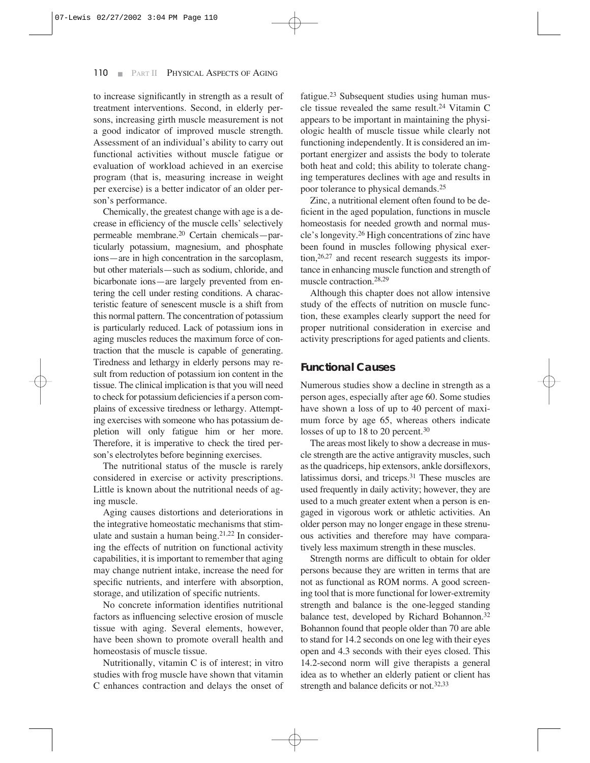to increase significantly in strength as a result of treatment interventions. Second, in elderly persons, increasing girth muscle measurement is not a good indicator of improved muscle strength. Assessment of an individual's ability to carry out functional activities without muscle fatigue or evaluation of workload achieved in an exercise program (that is, measuring increase in weight per exercise) is a better indicator of an older person's performance.

Chemically, the greatest change with age is a decrease in efficiency of the muscle cells' selectively permeable membrane.20 Certain chemicals—particularly potassium, magnesium, and phosphate ions—are in high concentration in the sarcoplasm, but other materials—such as sodium, chloride, and bicarbonate ions—are largely prevented from entering the cell under resting conditions. A characteristic feature of senescent muscle is a shift from this normal pattern. The concentration of potassium is particularly reduced. Lack of potassium ions in aging muscles reduces the maximum force of contraction that the muscle is capable of generating. Tiredness and lethargy in elderly persons may result from reduction of potassium ion content in the tissue. The clinical implication is that you will need to check for potassium deficiencies if a person complains of excessive tiredness or lethargy. Attempting exercises with someone who has potassium depletion will only fatigue him or her more. Therefore, it is imperative to check the tired person's electrolytes before beginning exercises.

The nutritional status of the muscle is rarely considered in exercise or activity prescriptions. Little is known about the nutritional needs of aging muscle.

Aging causes distortions and deteriorations in the integrative homeostatic mechanisms that stimulate and sustain a human being.21,22 In considering the effects of nutrition on functional activity capabilities, it is important to remember that aging may change nutrient intake, increase the need for specific nutrients, and interfere with absorption, storage, and utilization of specific nutrients.

No concrete information identifies nutritional factors as influencing selective erosion of muscle tissue with aging. Several elements, however, have been shown to promote overall health and homeostasis of muscle tissue.

Nutritionally, vitamin C is of interest; in vitro studies with frog muscle have shown that vitamin C enhances contraction and delays the onset of fatigue.23 Subsequent studies using human muscle tissue revealed the same result.24 Vitamin C appears to be important in maintaining the physiologic health of muscle tissue while clearly not functioning independently. It is considered an important energizer and assists the body to tolerate both heat and cold; this ability to tolerate changing temperatures declines with age and results in poor tolerance to physical demands.25

Zinc, a nutritional element often found to be deficient in the aged population, functions in muscle homeostasis for needed growth and normal muscle's longevity.26 High concentrations of zinc have been found in muscles following physical exertion,26,27 and recent research suggests its importance in enhancing muscle function and strength of muscle contraction.28,29

Although this chapter does not allow intensive study of the effects of nutrition on muscle function, these examples clearly support the need for proper nutritional consideration in exercise and activity prescriptions for aged patients and clients.

#### **Functional Causes**

Numerous studies show a decline in strength as a person ages, especially after age 60. Some studies have shown a loss of up to 40 percent of maximum force by age 65, whereas others indicate losses of up to 18 to 20 percent.<sup>30</sup>

The areas most likely to show a decrease in muscle strength are the active antigravity muscles, such as the quadriceps, hip extensors, ankle dorsiflexors, latissimus dorsi, and triceps.31 These muscles are used frequently in daily activity; however, they are used to a much greater extent when a person is engaged in vigorous work or athletic activities. An older person may no longer engage in these strenuous activities and therefore may have comparatively less maximum strength in these muscles.

Strength norms are difficult to obtain for older persons because they are written in terms that are not as functional as ROM norms. A good screening tool that is more functional for lower-extremity strength and balance is the one-legged standing balance test, developed by Richard Bohannon.<sup>32</sup> Bohannon found that people older than 70 are able to stand for 14.2 seconds on one leg with their eyes open and 4.3 seconds with their eyes closed. This 14.2-second norm will give therapists a general idea as to whether an elderly patient or client has strength and balance deficits or not.32,33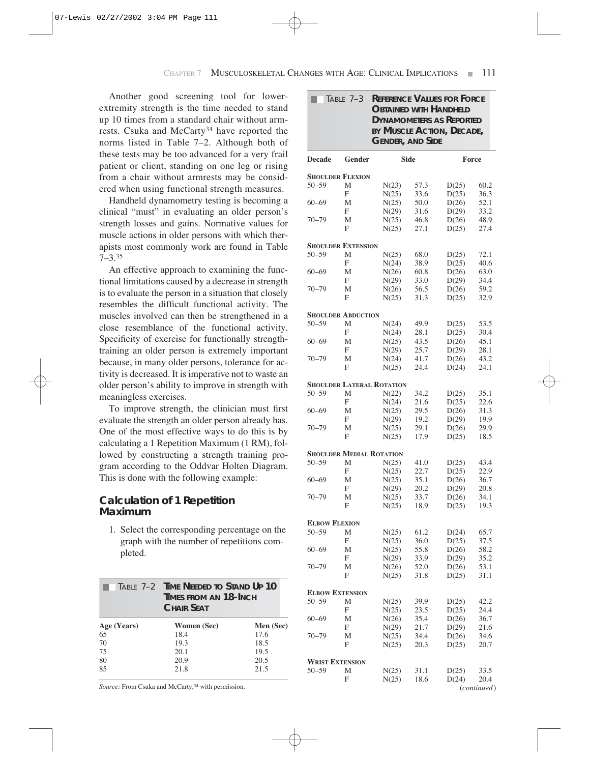Another good screening tool for lowerextremity strength is the time needed to stand up 10 times from a standard chair without armrests. Csuka and McCarty34 have reported the norms listed in Table 7–2. Although both of these tests may be too advanced for a very frail patient or client, standing on one leg or rising from a chair without armrests may be considered when using functional strength measures.

Handheld dynamometry testing is becoming a clinical "must" in evaluating an older person's strength losses and gains. Normative values for muscle actions in older persons with which therapists most commonly work are found in Table 7–3.35

An effective approach to examining the functional limitations caused by a decrease in strength is to evaluate the person in a situation that closely resembles the difficult functional activity. The muscles involved can then be strengthened in a close resemblance of the functional activity. Specificity of exercise for functionally strengthtraining an older person is extremely important because, in many older persons, tolerance for activity is decreased. It is imperative not to waste an older person's ability to improve in strength with meaningless exercises.

To improve strength, the clinician must first evaluate the strength an older person already has. One of the most effective ways to do this is by calculating a 1 Repetition Maximum (1 RM), followed by constructing a strength training program according to the Oddvar Holten Diagram. This is done with the following example:

#### **Calculation of 1 Repetition Maximum**

1. Select the corresponding percentage on the graph with the number of repetitions completed.

|             | <b>TABLE 7-2 TIME NEEDED TO STAND UP 10</b><br>TIMES FROM AN 18-INCH<br><b>CHAIR SFAT</b> |           |  |  |
|-------------|-------------------------------------------------------------------------------------------|-----------|--|--|
| Age (Years) | Women (Sec)                                                                               | Men (Sec) |  |  |
| 65          | 18.4                                                                                      | 17.6      |  |  |
| 70          | 19.3                                                                                      | 18.5      |  |  |
| 75          | 20.1                                                                                      | 19.5      |  |  |
| 80          | 20.9                                                                                      | 20.5      |  |  |
| 85          | 21.8                                                                                      | 21.5      |  |  |

Source: From Csuka and McCarty,<sup>34</sup> with permission.

| <b>REFERENCE VALUES FOR FORCE</b><br>TABLE $7-3$<br><b>OBTAINED WITH HANDHELD</b><br><b>DYNAMOMETERS AS REPORTED</b><br>BY MUSCLE ACTION, DECADE,<br><b>GENDER, AND SIDE</b> |                           |                                  |              |                |                      |
|------------------------------------------------------------------------------------------------------------------------------------------------------------------------------|---------------------------|----------------------------------|--------------|----------------|----------------------|
| <b>Decade</b>                                                                                                                                                                | Gender                    |                                  | <b>Side</b>  |                | Force                |
|                                                                                                                                                                              | <b>SHOULDER FLEXION</b>   |                                  |              |                |                      |
| $50 - 59$                                                                                                                                                                    | М                         | N(23)                            | 57.3         | D(25)          | 60.2                 |
|                                                                                                                                                                              | F                         | N(25)                            | 33.6         | D(25)          | 36.3                 |
| $60 - 69$                                                                                                                                                                    | М                         | N(25)                            | 50.0         | D(26)          | 52.1                 |
| $70 - 79$                                                                                                                                                                    | F                         | N(29)                            | 31.6         | D(29)          | 33.2                 |
|                                                                                                                                                                              | М<br>F                    | N(25)<br>N(25)                   | 46.8<br>27.1 | D(26)<br>D(25) | 48.9<br>27.4         |
|                                                                                                                                                                              | <b>SHOULDER EXTENSION</b> |                                  |              |                |                      |
| $50 - 59$                                                                                                                                                                    | M                         | N(25)                            | 68.0         | D(25)          | 72.1                 |
|                                                                                                                                                                              | F                         | N(24)                            | 38.9         | D(25)          | 40.6                 |
| $60 - 69$                                                                                                                                                                    | М                         | N(26)                            | 60.8         | D(26)          | 63.0                 |
|                                                                                                                                                                              | F                         | N(29)                            | 33.0         | D(29)          | 34.4                 |
| $70 - 79$                                                                                                                                                                    | М<br>F                    | N(26)<br>N(25)                   | 56.5<br>31.3 | D(26)<br>D(25) | 59.2<br>32.9         |
|                                                                                                                                                                              | <b>SHOULDER ABDUCTION</b> |                                  |              |                |                      |
| $50 - 59$                                                                                                                                                                    | М                         | N(24)                            | 49.9         | D(25)          | 53.5                 |
|                                                                                                                                                                              | F                         | N(24)                            | 28.1         | D(25)          | 30.4                 |
| $60 - 69$                                                                                                                                                                    | М                         | N(25)                            | 43.5         | D(26)          | 45.1                 |
|                                                                                                                                                                              | F                         | N(29)                            | 25.7         | D(29)          | 28.1                 |
| 70–79                                                                                                                                                                        | М                         | N(24)                            | 41.7         | D(26)          | 43.2                 |
|                                                                                                                                                                              | F                         | N(25)                            | 24.4         | D(24)          | 24.1                 |
|                                                                                                                                                                              |                           | <b>SHOULDER LATERAL ROTATION</b> |              |                |                      |
| $50 - 59$                                                                                                                                                                    | М                         | N(22)                            | 34.2         | D(25)          | 35.1                 |
|                                                                                                                                                                              | F                         | N(24)                            | 21.6         | D(25)          | 22.6                 |
| $60 - 69$                                                                                                                                                                    | М                         | N(25)                            | 29.5         | D(26)          | 31.3                 |
|                                                                                                                                                                              | F                         | N(29)                            | 19.2         | D(29)          | 19.9                 |
| 70–79                                                                                                                                                                        | М                         | N(25)                            | 29.1         | D(26)          | 29.9                 |
|                                                                                                                                                                              | F                         | N(25)                            | 17.9         | D(25)          | 18.5                 |
|                                                                                                                                                                              |                           | <b>SHOULDER MEDIAL ROTATION</b>  |              |                |                      |
| $50 - 59$                                                                                                                                                                    | М                         | N(25)                            | 41.0         | D(25)          | 43.4                 |
|                                                                                                                                                                              | F                         | N(25)                            | 22.7<br>35.1 | D(25)          | 22.9                 |
| $60 - 69$                                                                                                                                                                    | М<br>F                    | N(25)<br>N(29)                   | 20.2         | D(26)<br>D(29) | 36.7<br>20.8         |
| $70 - 79$                                                                                                                                                                    | М                         | N(25)                            | 33.7         | D(26)          | 34.1                 |
|                                                                                                                                                                              | F                         | N(25)                            | 18.9         | D(25)          | 19.3                 |
| <b>ELBOW FLEXION</b>                                                                                                                                                         |                           |                                  |              |                |                      |
| 50–59                                                                                                                                                                        | M                         | N(25)                            | 61.2         | D(24)          | 65.7                 |
|                                                                                                                                                                              | F                         | N(25)                            | 36.0         | D(25)          | 37.5                 |
| $60 - 69$                                                                                                                                                                    | Μ                         | N(25)                            | 55.8         | D(26)          | 58.2                 |
|                                                                                                                                                                              | F                         | N(29)                            | 33.9         | D(29)          | 35.2                 |
| 70–79                                                                                                                                                                        | Μ                         | N(26)                            | 52.0         | D(26)          | 53.1                 |
|                                                                                                                                                                              | F                         | N(25)                            | 31.8         | D(25)          | 31.1                 |
| <b>ELBOW EXTENSION</b>                                                                                                                                                       |                           |                                  |              |                |                      |
| 50–59                                                                                                                                                                        | Μ                         | N(25)                            | 39.9         | D(25)          | 42.2                 |
|                                                                                                                                                                              | F                         | N(25)                            | 23.5         | D(25)          | 24.4                 |
| $60 - 69$                                                                                                                                                                    | Μ                         | N(26)                            | 35.4         | D(26)          | 36.7                 |
| 70–79                                                                                                                                                                        | F<br>М                    | N(29)<br>N(25)                   | 21.7<br>34.4 | D(29)          | 21.6                 |
|                                                                                                                                                                              | F                         | N(25)                            | 20.3         | D(26)<br>D(25) | 34.6<br>20.7         |
| <b>WRIST EXTENSION</b>                                                                                                                                                       |                           |                                  |              |                |                      |
| 50–59                                                                                                                                                                        | Μ                         | N(25)                            | 31.1         | D(25)          | 33.5                 |
|                                                                                                                                                                              | F                         | N(25)                            | 18.6         | D(24)          | 20.4                 |
|                                                                                                                                                                              |                           |                                  |              |                | ( <i>continued</i> ) |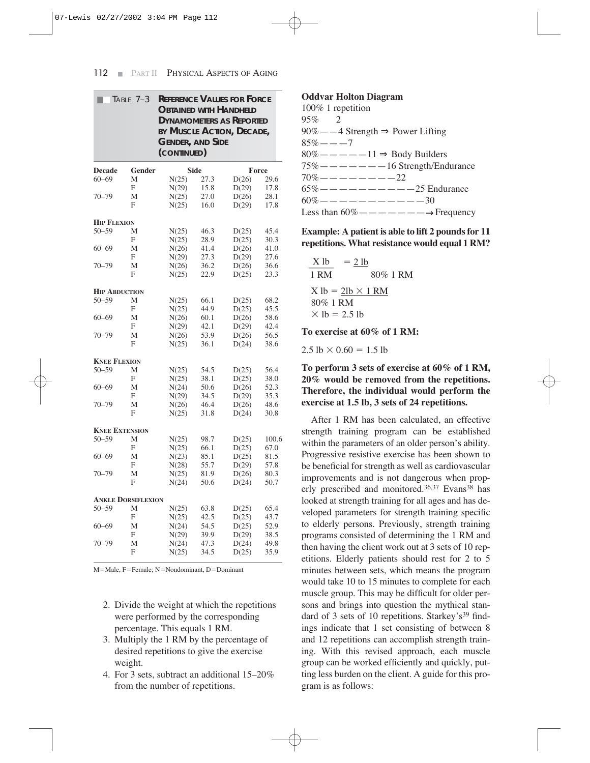| <b>REFERENCE VALUES FOR FORCE</b><br>TABLE 7-3<br><b>OBTAINED WITH HANDHELD</b><br><b>DYNAMOMETERS AS REPORTED</b><br>BY MUSCLE ACTION, DECADE,<br><b>GENDER, AND SIDE</b><br>(CONTINUED) |                           |       |             |       |       |
|-------------------------------------------------------------------------------------------------------------------------------------------------------------------------------------------|---------------------------|-------|-------------|-------|-------|
| <b>Decade</b>                                                                                                                                                                             | Gender                    |       | <b>Side</b> |       | Force |
| $60 - 69$                                                                                                                                                                                 | M                         | N(25) | 27.3        | D(26) | 29.6  |
|                                                                                                                                                                                           | F                         | N(29) | 15.8        | D(29) | 17.8  |
| $70 - 79$                                                                                                                                                                                 | М                         | N(25) | 27.0        | D(26) | 28.1  |
|                                                                                                                                                                                           | F                         | N(25) | 16.0        | D(29) | 17.8  |
| <b>HIP FLEXION</b>                                                                                                                                                                        |                           |       |             |       |       |
| $50 - 59$                                                                                                                                                                                 | М                         | N(25) | 46.3        | D(25) | 45.4  |
|                                                                                                                                                                                           | F                         | N(25) | 28.9        | D(25) | 30.3  |
| $60 - 69$                                                                                                                                                                                 | M                         | N(26) | 41.4        | D(26) | 41.0  |
|                                                                                                                                                                                           | F                         | N(29) | 27.3        | D(29) | 27.6  |
| $70 - 79$                                                                                                                                                                                 | М                         | N(26) | 36.2        | D(26) | 36.6  |
|                                                                                                                                                                                           | F                         | N(25) | 22.9        | D(25) | 23.3  |
| <b>HIP ABDUCTION</b>                                                                                                                                                                      |                           |       |             |       |       |
| $50 - 59$                                                                                                                                                                                 | M                         | N(25) | 66.1        | D(25) | 68.2  |
|                                                                                                                                                                                           | F                         | N(25) | 44.9        | D(25) | 45.5  |
| $60 - 69$                                                                                                                                                                                 | М                         | N(26) | 60.1        | D(26) | 58.6  |
|                                                                                                                                                                                           | F                         | N(29) | 42.1        | D(29) | 42.4  |
| $70 - 79$                                                                                                                                                                                 | М                         | N(26) | 53.9        | D(26) | 56.5  |
|                                                                                                                                                                                           | F                         | N(25) | 36.1        | D(24) | 38.6  |
| <b>KNEE FLEXION</b>                                                                                                                                                                       |                           |       |             |       |       |
| $50 - 59$                                                                                                                                                                                 | М                         | N(25) | 54.5        | D(25) | 56.4  |
|                                                                                                                                                                                           | F                         | N(25) | 38.1        | D(25) | 38.0  |
| $60 - 69$                                                                                                                                                                                 | М                         | N(24) | 50.6        | D(26) | 52.3  |
|                                                                                                                                                                                           | F                         | N(29) | 34.5        | D(29) | 35.3  |
| $70 - 79$                                                                                                                                                                                 | М                         | N(26) | 46.4        | D(26) | 48.6  |
|                                                                                                                                                                                           | F                         | N(25) | 31.8        | D(24) | 30.8  |
| <b>KNEE EXTENSION</b>                                                                                                                                                                     |                           |       |             |       |       |
| $50 - 59$                                                                                                                                                                                 | M                         | N(25) | 98.7        | D(25) | 100.6 |
|                                                                                                                                                                                           | F                         | N(25) | 66.1        | D(25) | 67.0  |
| $60 - 69$                                                                                                                                                                                 | М                         | N(23) | 85.1        | D(25) | 81.5  |
|                                                                                                                                                                                           | F                         | N(28) | 55.7        | D(29) | 57.8  |
| $70 - 79$                                                                                                                                                                                 | М                         | N(25) | 81.9        | D(26) | 80.3  |
|                                                                                                                                                                                           | F                         | N(24) | 50.6        | D(24) | 50.7  |
|                                                                                                                                                                                           | <b>ANKLE DORSIFLEXION</b> |       |             |       |       |
| $50 - 59$                                                                                                                                                                                 | М                         | N(25) | 63.8        | D(25) | 65.4  |
|                                                                                                                                                                                           | F                         | N(25) | 42.5        | D(25) | 43.7  |
| $60 - 69$                                                                                                                                                                                 | М                         | N(24) | 54.5        | D(25) | 52.9  |
|                                                                                                                                                                                           | F                         | N(29) | 39.9        | D(29) | 38.5  |
| $70 - 79$                                                                                                                                                                                 | М                         | N(24) | 47.3        | D(24) | 49.8  |
|                                                                                                                                                                                           | F                         | N(25) | 34.5        | D(25) | 35.9  |
|                                                                                                                                                                                           |                           |       |             |       |       |

M=Male, F=Female; N=Nondominant, D=Dominant

- 2. Divide the weight at which the repetitions were performed by the corresponding percentage. This equals 1 RM.
- 3. Multiply the 1 RM by the percentage of desired repetitions to give the exercise weight.
- 4. For 3 sets, subtract an additional 15–20% from the number of repetitions.

#### **Oddvar Holton Diagram**

100% 1 repetition 95% 2 90%——4 Strength ⇒ Power Lifting  $85% - - -7$ 80% — — — — — 11 ⇒ Body Builders  $75\%$  — — — — — —  $-$  16 Strength/Endurance  $70\%$  — — — — — — —  $-22$  $65\%$  — — — — — — — — — — 25 Endurance  $60\%$ ———————————30 Less than  $60\%$  — — — — — —  $\rightarrow$  Frequency

#### **Example: A patient is able to lift 2 pounds for 11 repetitions. What resistance would equal 1 RM?**

$$
\frac{X \text{ lb}}{1 \text{ RM}} = 2 \text{ lb}
$$
  
 
$$
80\% \text{ 1 RM}
$$
  
 
$$
X \text{ lb} = 2 \text{ lb} \times 1 \text{ RM}
$$
  
 
$$
80\% \text{ 1 RM}
$$
  
 
$$
\times \text{ lb} = 2.5 \text{ lb}
$$

**To exercise at 60% of 1 RM:**

 $2.5 \text{ lb} \times 0.60 = 1.5 \text{ lb}$ 

#### **To perform 3 sets of exercise at 60% of 1 RM, 20% would be removed from the repetitions. Therefore, the individual would perform the exercise at 1.5 lb, 3 sets of 24 repetitions.**

After 1 RM has been calculated, an effective strength training program can be established within the parameters of an older person's ability. Progressive resistive exercise has been shown to be beneficial for strength as well as cardiovascular improvements and is not dangerous when properly prescribed and monitored.<sup>36,37</sup> Evans<sup>38</sup> has looked at strength training for all ages and has developed parameters for strength training specific to elderly persons. Previously, strength training programs consisted of determining the 1 RM and then having the client work out at 3 sets of 10 repetitions. Elderly patients should rest for 2 to 5 minutes between sets, which means the program would take 10 to 15 minutes to complete for each muscle group. This may be difficult for older persons and brings into question the mythical standard of 3 sets of 10 repetitions. Starkey's<sup>39</sup> findings indicate that 1 set consisting of between 8 and 12 repetitions can accomplish strength training. With this revised approach, each muscle group can be worked efficiently and quickly, putting less burden on the client. A guide for this program is as follows: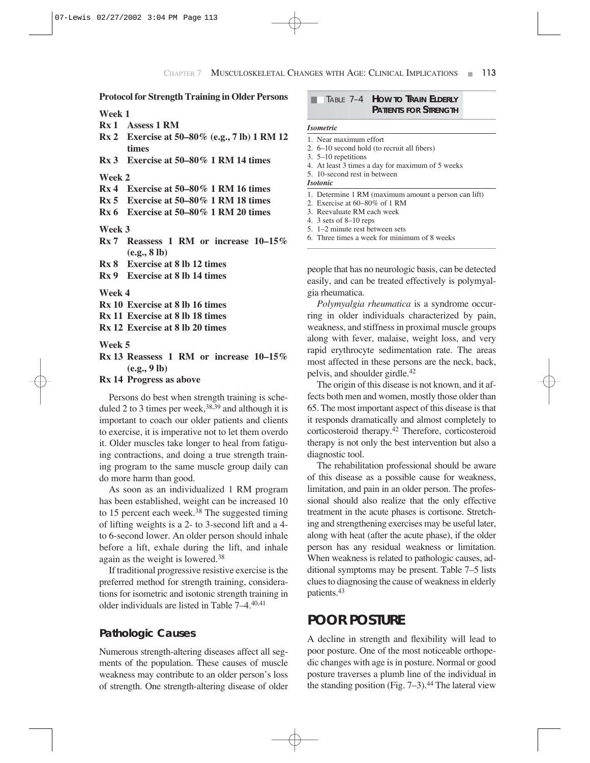#### **Protocol for Strength Training in Older Persons**

#### **Week 1**

- **Rx 1 Assess 1 RM**
- **Rx 2 Exercise at 50–80% (e.g., 7 lb) 1 RM 12 times**
- **Rx 3 Exercise at 50–80% 1 RM 14 times**

#### **Week 2**

- **Rx 4 Exercise at 50–80% 1 RM 16 times**
- **Rx 5 Exercise at 50–80% 1 RM 18 times**
- **Rx 6 Exercise at 50–80% 1 RM 20 times**

#### **Week 3**

- **Rx 7 Reassess 1 RM or increase 10–15% (e.g., 8 lb)**
- **Rx 8 Exercise at 8 lb 12 times**
- **Rx 9 Exercise at 8 lb 14 times**

#### **Week 4**

**Rx 10 Exercise at 8 lb 16 times**

**Rx 11 Exercise at 8 lb 18 times**

**Rx 12 Exercise at 8 lb 20 times**

#### **Week 5**

**Rx 13 Reassess 1 RM or increase 10–15% (e.g., 9 lb)**

#### **Rx 14 Progress as above**

Persons do best when strength training is scheduled 2 to 3 times per week,  $38,39$  and although it is important to coach our older patients and clients to exercise, it is imperative not to let them overdo it. Older muscles take longer to heal from fatiguing contractions, and doing a true strength training program to the same muscle group daily can do more harm than good.

As soon as an individualized 1 RM program has been established, weight can be increased 10 to 15 percent each week.<sup>38</sup> The suggested timing of lifting weights is a 2- to 3-second lift and a 4 to 6-second lower. An older person should inhale before a lift, exhale during the lift, and inhale again as the weight is lowered.38

If traditional progressive resistive exercise is the preferred method for strength training, considerations for isometric and isotonic strength training in older individuals are listed in Table 7–4.40,41

#### **Pathologic Causes**

Numerous strength-altering diseases affect all segments of the population. These causes of muscle weakness may contribute to an older person's loss of strength. One strength-altering disease of older

#### **EXECUTE: THE 7-4 HOW TO TRAIN ELDERLY PATIENTS FOR STRENGTH**

#### *Isometric*

|  | 1. Near maximum effort |  |
|--|------------------------|--|
|  |                        |  |

- 2. 6–10 second hold (to recruit all fibers)
- 3. 5–10 repetitions
- 4. At least 3 times a day for maximum of 5 weeks
- 5. 10-second rest in between

*Isotonic*

- 1. Determine 1 RM (maximum amount a person can lift)
- 2. Exercise at 60–80% of 1 RM
- 3. Reevaluate RM each week
- 4. 3 sets of 8–10 reps
- 5. 1–2 minute rest between sets
- 6. Three times a week for minimum of 8 weeks

people that has no neurologic basis, can be detected easily, and can be treated effectively is polymyalgia rheumatica.

*Polymyalgia rheumatica* is a syndrome occurring in older individuals characterized by pain, weakness, and stiffness in proximal muscle groups along with fever, malaise, weight loss, and very rapid erythrocyte sedimentation rate. The areas most affected in these persons are the neck, back, pelvis, and shoulder girdle.42

The origin of this disease is not known, and it affects both men and women, mostly those older than 65. The most important aspect of this disease is that it responds dramatically and almost completely to corticosteroid therapy.42 Therefore, corticosteroid therapy is not only the best intervention but also a diagnostic tool.

The rehabilitation professional should be aware of this disease as a possible cause for weakness, limitation, and pain in an older person. The professional should also realize that the only effective treatment in the acute phases is cortisone. Stretching and strengthening exercises may be useful later, along with heat (after the acute phase), if the older person has any residual weakness or limitation. When weakness is related to pathologic causes, additional symptoms may be present. Table 7–5 lists clues to diagnosing the cause of weakness in elderly patients.43

#### **POOR POSTURE**

A decline in strength and flexibility will lead to poor posture. One of the most noticeable orthopedic changes with age is in posture. Normal or good posture traverses a plumb line of the individual in the standing position (Fig.  $7-3$ ).<sup>44</sup> The lateral view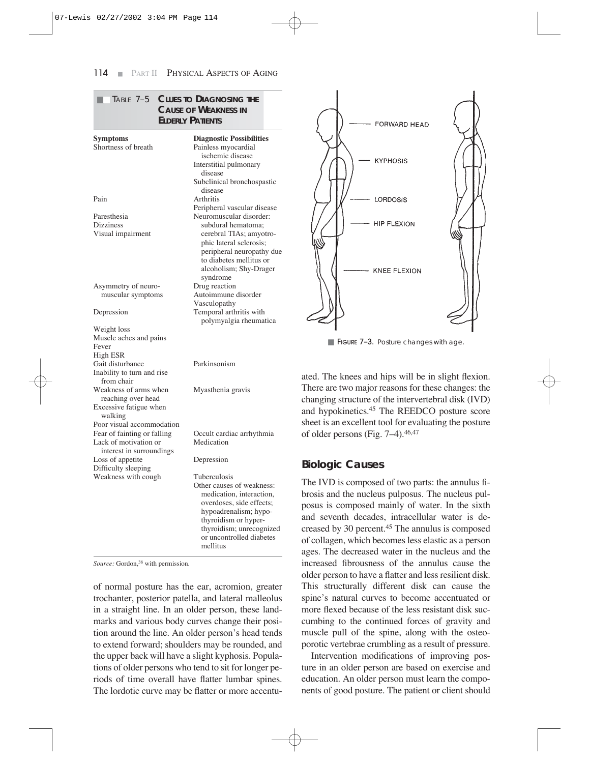|                                                                                  | TABLE 7-5 CLUES TO DIAGNOSING THE<br><b>CAUSE OF WEAKNESS IN</b><br><b>ELDERLY PATIENTS</b>                                                                                                                                      |                                          |
|----------------------------------------------------------------------------------|----------------------------------------------------------------------------------------------------------------------------------------------------------------------------------------------------------------------------------|------------------------------------------|
| <b>Symptoms</b><br>Shortness of breath                                           | <b>Diagnostic Possibilities</b><br>Painless myocardial<br>ischemic disease<br>Interstitial pulmonary                                                                                                                             |                                          |
| Pain                                                                             | disease<br>Subclinical bronchospastic<br>disease<br>Arthritis                                                                                                                                                                    |                                          |
| Paresthesia<br>Dizziness<br>Visual impairment                                    | Peripheral vascular disease<br>Neuromuscular disorder:<br>subdural hematoma;<br>cerebral TIAs; amyotro-<br>phic lateral sclerosis;<br>peripheral neuropathy due<br>to diabetes mellitus or<br>alcoholism; Shy-Drager<br>syndrome |                                          |
| Asymmetry of neuro-<br>muscular symptoms                                         | Drug reaction<br>Autoimmune disorder<br>Vasculopathy                                                                                                                                                                             |                                          |
| Depression                                                                       | Temporal arthritis with<br>polymyalgia rheumatica                                                                                                                                                                                |                                          |
| Weight loss<br>Muscle aches and pains<br>Fever<br>High ESR                       |                                                                                                                                                                                                                                  |                                          |
| Gait disturbance<br>Inability to turn and rise<br>from chair                     | Parkinsonism                                                                                                                                                                                                                     | ateo                                     |
| Weakness of arms when<br>reaching over head<br>Excessive fatigue when<br>walking | Myasthenia gravis                                                                                                                                                                                                                | The<br>cha<br>and                        |
| Poor visual accommodation                                                        |                                                                                                                                                                                                                                  | she                                      |
| Fear of fainting or falling<br>Lack of motivation or<br>interest in surroundings | Occult cardiac arrhythmia<br>Medication                                                                                                                                                                                          | of c                                     |
| Loss of appetite<br>Difficulty sleeping                                          | Depression                                                                                                                                                                                                                       | <b>Bic</b>                               |
| Weakness with cough                                                              | Tuberculosis<br>Other causes of weakness:<br>medication, interaction,<br>overdoses, side effects;<br>hypoadrenalism; hypo-<br>thyroidism or hyper-<br>thyroidism; unrecognized<br>or uncontrolled diabetes<br>mellitus           | The<br>bro<br>pos<br>and<br>crea<br>of c |

*Source:* Gordon,<sup>38</sup> with permission.

of normal posture has the ear, acromion, greater trochanter, posterior patella, and lateral malleolus in a straight line. In an older person, these landmarks and various body curves change their position around the line. An older person's head tends to extend forward; shoulders may be rounded, and the upper back will have a slight kyphosis. Populations of older persons who tend to sit for longer periods of time overall have flatter lumbar spines. The lordotic curve may be flatter or more accentu-



**FIGURE 7-3.** Posture changes with age.

d. The knees and hips will be in slight flexion. ere are two major reasons for these changes: the inging structure of the intervertebral disk (IVD) hypokinetics.<sup>45</sup> The REEDCO posture score et is an excellent tool for evaluating the posture older persons (Fig.  $7-4$ ).<sup>46,47</sup>

#### **Biologic Causes**

e IVD is composed of two parts: the annulus fisis and the nucleus pulposus. The nucleus pulsus is composed mainly of water. In the sixth seventh decades, intracellular water is deased by 30 percent.<sup>45</sup> The annulus is composed collagen, which becomes less elastic as a person ages. The decreased water in the nucleus and the increased fibrousness of the annulus cause the older person to have a flatter and less resilient disk. This structurally different disk can cause the spine's natural curves to become accentuated or more flexed because of the less resistant disk succumbing to the continued forces of gravity and muscle pull of the spine, along with the osteoporotic vertebrae crumbling as a result of pressure.

Intervention modifications of improving posture in an older person are based on exercise and education. An older person must learn the components of good posture. The patient or client should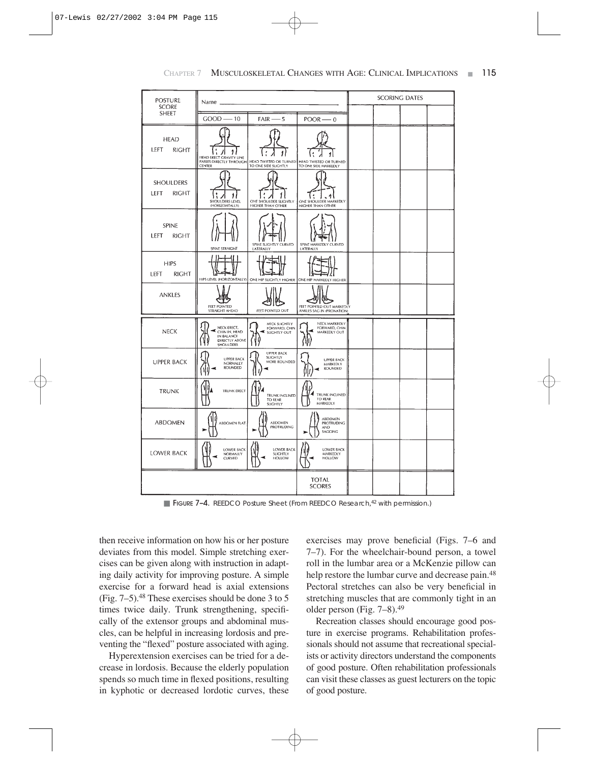| <b>POSTURE</b><br><b>SCORE</b>       | Name,                                                                     |                                                                        |                                                        | <b>SCORING DATES</b> |  |  |  |
|--------------------------------------|---------------------------------------------------------------------------|------------------------------------------------------------------------|--------------------------------------------------------|----------------------|--|--|--|
| SHEET                                | $GOOD - 10$                                                               | $FAIR \rightarrow 5$                                                   | $POOR - 0$                                             |                      |  |  |  |
| <b>HEAD</b><br>LEFT<br>RIGHT         | 1.<br>HEAD ERECT GRAVITY LINE<br>CENTER                                   | PASSES DIRECTLY THROUGH HEAD TWISTED OR TURNED<br>TO ONE SIDE SLIGHTLY | HEAD TWISTED OR TURNED<br>TO ONE SIDE MARKEDLY         |                      |  |  |  |
| <b>SHOULDERS</b><br>LEFT<br>RIGHT    | ,,<br>SHOULDERS LEVEL<br>(HORIZONTALLY)                                   | ONE SHOULDER SLIGHTLY<br>HIGHER THAN OTHER                             | ONE SHOULDER MARKEDLY<br>HIGHER THAN OTHER             |                      |  |  |  |
| <b>SPINE</b><br><b>LEFT</b><br>RIGHT | SPINE STRAIGHT                                                            | SPINE SLIGHTLY CURVED<br>LATERALLY                                     | SPINE MARKEDLY CURVED<br>LATERALLY                     |                      |  |  |  |
| <b>HIPS</b><br>LEFT<br><b>RIGHT</b>  | HIPS LEVEL (HORIZONTALLY)                                                 |                                                                        | ONE HIP SLIGHTLY HIGHER ONE HIP MARKEDLY HIGHER        |                      |  |  |  |
| ANKLES                               | FEET POINTED<br>STRAIGHT AHEAD                                            | FEET POINTED OUT                                                       | FEET POINTED OUT MARKEDLY<br>ANKLES SAG IN (PRONATION) |                      |  |  |  |
| <b>NECK</b>                          | NECK ERECT,<br>CHIN IN, HEAD<br>IN BALANCE<br>DIRECTLY ABOVE<br>SHOULDERS | NECK SLIGHTLY<br>FORWARD, CHIN<br>SLIGHTLY OUT                         | NECK MARKEDLY<br>FORWARD, CHIN<br>MARKEDLY OUT         |                      |  |  |  |
| <b>UPPER BACK</b>                    | <b>UPPER BACK</b><br>NORMALLY<br>ROUNDED<br>١                             | <b>UPPER BACK</b><br><b>SLIGHTLY</b><br>MORE ROUNDED                   | <b>UPPER BACK</b><br>MARKEDLY<br>ROUNDED               |                      |  |  |  |
| TRUNK                                | <b>TRUNK ERECT</b>                                                        | TRUNK INCLINED<br>TO REAR<br>SLIGHTLY                                  | TRUNK INCLINED<br>TO REAR<br>MARKEDLY                  |                      |  |  |  |
| ABDOMEN                              | ABDOMEN FLAT                                                              | ABDOMEN<br>PROTRUDING                                                  | ABDOMEN<br><b>PROTRUDING</b><br><b>AND</b><br>SAGGING  |                      |  |  |  |
| LOWER BACK                           | <b>LOWER BACK</b><br>NORMALLY<br>CURVED                                   | LOWER BACK<br>SLIGHTLY<br><b>HOLLOW</b>                                | <b>LOWER BACK</b><br>MARKEDLY<br>HOLLOW                |                      |  |  |  |
|                                      |                                                                           |                                                                        | <b>TOTAL</b><br><b>SCORES</b>                          |                      |  |  |  |

■ FIGURE 7-4. REEDCO Posture Sheet (From REEDCO Research,<sup>42</sup> with permission.)

then receive information on how his or her posture deviates from this model. Simple stretching exercises can be given along with instruction in adapting daily activity for improving posture. A simple exercise for a forward head is axial extensions (Fig. 7–5).48 These exercises should be done 3 to 5 times twice daily. Trunk strengthening, specifically of the extensor groups and abdominal muscles, can be helpful in increasing lordosis and preventing the "flexed" posture associated with aging.

Hyperextension exercises can be tried for a decrease in lordosis. Because the elderly population spends so much time in flexed positions, resulting in kyphotic or decreased lordotic curves, these exercises may prove beneficial (Figs. 7–6 and 7–7). For the wheelchair-bound person, a towel roll in the lumbar area or a McKenzie pillow can help restore the lumbar curve and decrease pain.<sup>48</sup> Pectoral stretches can also be very beneficial in stretching muscles that are commonly tight in an older person (Fig. 7–8).49

Recreation classes should encourage good posture in exercise programs. Rehabilitation professionals should not assume that recreational specialists or activity directors understand the components of good posture. Often rehabilitation professionals can visit these classes as guest lecturers on the topic of good posture.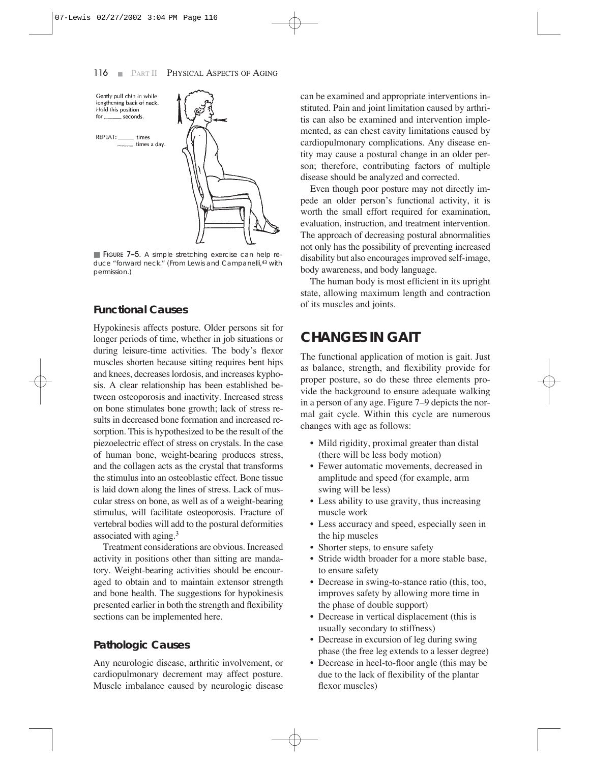

■ FIGURE 7-5. A simple stretching exercise can help reduce "forward neck." (From Lewis and Campanelli, 43 with permission.)

#### **Functional Causes**

Hypokinesis affects posture. Older persons sit for longer periods of time, whether in job situations or during leisure-time activities. The body's flexor muscles shorten because sitting requires bent hips and knees, decreases lordosis, and increases kyphosis. A clear relationship has been established between osteoporosis and inactivity. Increased stress on bone stimulates bone growth; lack of stress results in decreased bone formation and increased resorption. This is hypothesized to be the result of the piezoelectric effect of stress on crystals. In the case of human bone, weight-bearing produces stress, and the collagen acts as the crystal that transforms the stimulus into an osteoblastic effect. Bone tissue is laid down along the lines of stress. Lack of muscular stress on bone, as well as of a weight-bearing stimulus, will facilitate osteoporosis. Fracture of vertebral bodies will add to the postural deformities associated with aging.3

Treatment considerations are obvious. Increased activity in positions other than sitting are mandatory. Weight-bearing activities should be encouraged to obtain and to maintain extensor strength and bone health. The suggestions for hypokinesis presented earlier in both the strength and flexibility sections can be implemented here.

#### **Pathologic Causes**

Any neurologic disease, arthritic involvement, or cardiopulmonary decrement may affect posture. Muscle imbalance caused by neurologic disease

can be examined and appropriate interventions instituted. Pain and joint limitation caused by arthritis can also be examined and intervention implemented, as can chest cavity limitations caused by cardiopulmonary complications. Any disease entity may cause a postural change in an older person; therefore, contributing factors of multiple disease should be analyzed and corrected.

Even though poor posture may not directly impede an older person's functional activity, it is worth the small effort required for examination, evaluation, instruction, and treatment intervention. The approach of decreasing postural abnormalities not only has the possibility of preventing increased disability but also encourages improved self-image, body awareness, and body language.

The human body is most efficient in its upright state, allowing maximum length and contraction of its muscles and joints.

### **CHANGES IN GAIT**

The functional application of motion is gait. Just as balance, strength, and flexibility provide for proper posture, so do these three elements provide the background to ensure adequate walking in a person of any age. Figure 7–9 depicts the normal gait cycle. Within this cycle are numerous changes with age as follows:

- Mild rigidity, proximal greater than distal (there will be less body motion)
- Fewer automatic movements, decreased in amplitude and speed (for example, arm swing will be less)
- Less ability to use gravity, thus increasing muscle work
- Less accuracy and speed, especially seen in the hip muscles
- Shorter steps, to ensure safety
- Stride width broader for a more stable base, to ensure safety
- Decrease in swing-to-stance ratio (this, too, improves safety by allowing more time in the phase of double support)
- Decrease in vertical displacement (this is usually secondary to stiffness)
- Decrease in excursion of leg during swing phase (the free leg extends to a lesser degree)
- Decrease in heel-to-floor angle (this may be due to the lack of flexibility of the plantar flexor muscles)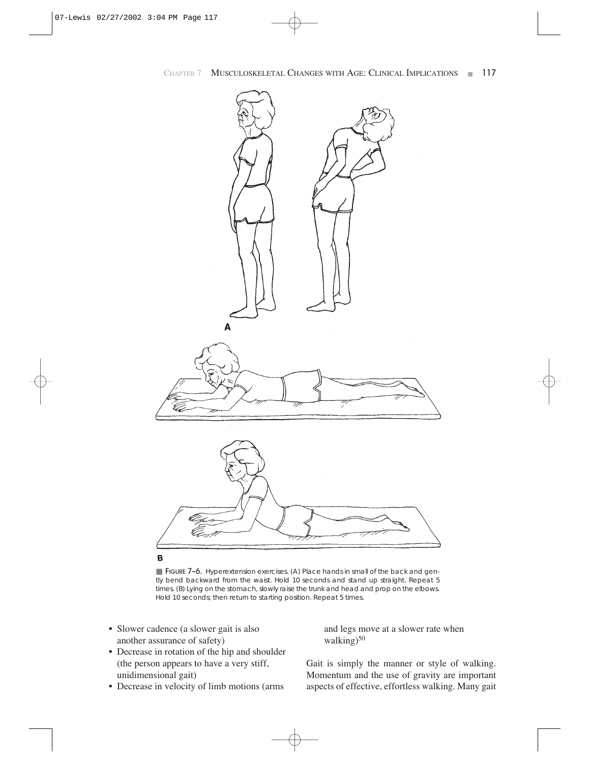

■ FIGURE 7-6. Hyperextension exercises. (A) Place hands in small of the back and gently bend backward from the waist. Hold 10 seconds and stand up straight. Repeat 5 times. (*B*) Lying on the stomach, slowly raise the trunk and head and prop on the elbows. Hold 10 seconds; then return to starting position. Repeat 5 times.

- Slower cadence (a slower gait is also another assurance of safety)
- Decrease in rotation of the hip and shoulder (the person appears to have a very stiff, unidimensional gait)
- Decrease in velocity of limb motions (arms

and legs move at a slower rate when walking)<sup>50</sup>

Gait is simply the manner or style of walking. Momentum and the use of gravity are important aspects of effective, effortless walking. Many gait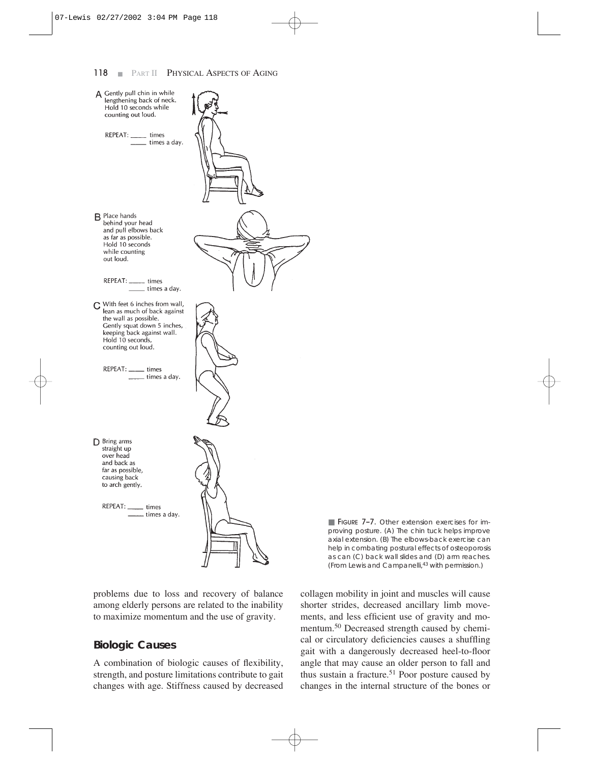#### 118 **BELLET PHYSICAL ASPECTS OF AGING**



problems due to loss and recovery of balance among elderly persons are related to the inability to maximize momentum and the use of gravity.

#### **Biologic Causes**

A combination of biologic causes of flexibility, strength, and posture limitations contribute to gait changes with age. Stiffness caused by decreased

■ FIGURE 7-7. Other extension exercises for improving posture. (*A*) The chin tuck helps improve axial extension. (*B*) The elbows-back exercise can help in combating postural effects of osteoporosis as can (*C*) back wall slides and (*D*) arm reaches. (From Lewis and Campanelli,43 with permission.)

collagen mobility in joint and muscles will cause shorter strides, decreased ancillary limb movements, and less efficient use of gravity and momentum.50 Decreased strength caused by chemical or circulatory deficiencies causes a shuffling gait with a dangerously decreased heel-to-floor angle that may cause an older person to fall and thus sustain a fracture.<sup>51</sup> Poor posture caused by changes in the internal structure of the bones or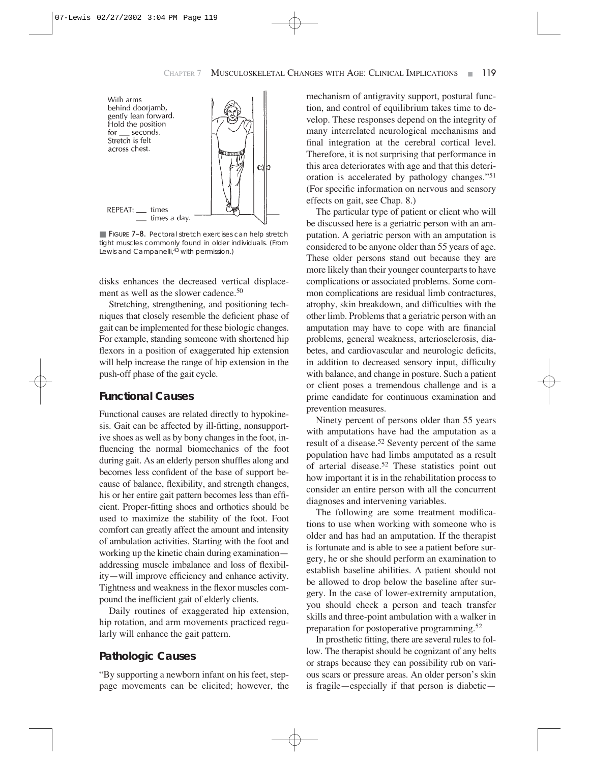

■ FIGURE 7-8. Pectoral stretch exercises can help stretch tight muscles commonly found in older individuals. (From Lewis and Campanelli,<sup>43</sup> with permission.)

disks enhances the decreased vertical displacement as well as the slower cadence.50

Stretching, strengthening, and positioning techniques that closely resemble the deficient phase of gait can be implemented for these biologic changes. For example, standing someone with shortened hip flexors in a position of exaggerated hip extension will help increase the range of hip extension in the push-off phase of the gait cycle.

#### **Functional Causes**

Functional causes are related directly to hypokinesis. Gait can be affected by ill-fitting, nonsupportive shoes as well as by bony changes in the foot, influencing the normal biomechanics of the foot during gait. As an elderly person shuffles along and becomes less confident of the base of support because of balance, flexibility, and strength changes, his or her entire gait pattern becomes less than efficient. Proper-fitting shoes and orthotics should be used to maximize the stability of the foot. Foot comfort can greatly affect the amount and intensity of ambulation activities. Starting with the foot and working up the kinetic chain during examination addressing muscle imbalance and loss of flexibility—will improve efficiency and enhance activity. Tightness and weakness in the flexor muscles compound the inefficient gait of elderly clients.

Daily routines of exaggerated hip extension, hip rotation, and arm movements practiced regularly will enhance the gait pattern.

#### **Pathologic Causes**

"By supporting a newborn infant on his feet, steppage movements can be elicited; however, the mechanism of antigravity support, postural function, and control of equilibrium takes time to develop. These responses depend on the integrity of many interrelated neurological mechanisms and final integration at the cerebral cortical level. Therefore, it is not surprising that performance in this area deteriorates with age and that this deterioration is accelerated by pathology changes."51 (For specific information on nervous and sensory effects on gait, see Chap. 8.)

The particular type of patient or client who will be discussed here is a geriatric person with an amputation. A geriatric person with an amputation is considered to be anyone older than 55 years of age. These older persons stand out because they are more likely than their younger counterparts to have complications or associated problems. Some common complications are residual limb contractures, atrophy, skin breakdown, and difficulties with the other limb. Problems that a geriatric person with an amputation may have to cope with are financial problems, general weakness, arteriosclerosis, diabetes, and cardiovascular and neurologic deficits, in addition to decreased sensory input, difficulty with balance, and change in posture. Such a patient or client poses a tremendous challenge and is a prime candidate for continuous examination and prevention measures.

Ninety percent of persons older than 55 years with amputations have had the amputation as a result of a disease.52 Seventy percent of the same population have had limbs amputated as a result of arterial disease.52 These statistics point out how important it is in the rehabilitation process to consider an entire person with all the concurrent diagnoses and intervening variables.

The following are some treatment modifications to use when working with someone who is older and has had an amputation. If the therapist is fortunate and is able to see a patient before surgery, he or she should perform an examination to establish baseline abilities. A patient should not be allowed to drop below the baseline after surgery. In the case of lower-extremity amputation, you should check a person and teach transfer skills and three-point ambulation with a walker in preparation for postoperative programming.52

In prosthetic fitting, there are several rules to follow. The therapist should be cognizant of any belts or straps because they can possibility rub on various scars or pressure areas. An older person's skin is fragile—especially if that person is diabetic—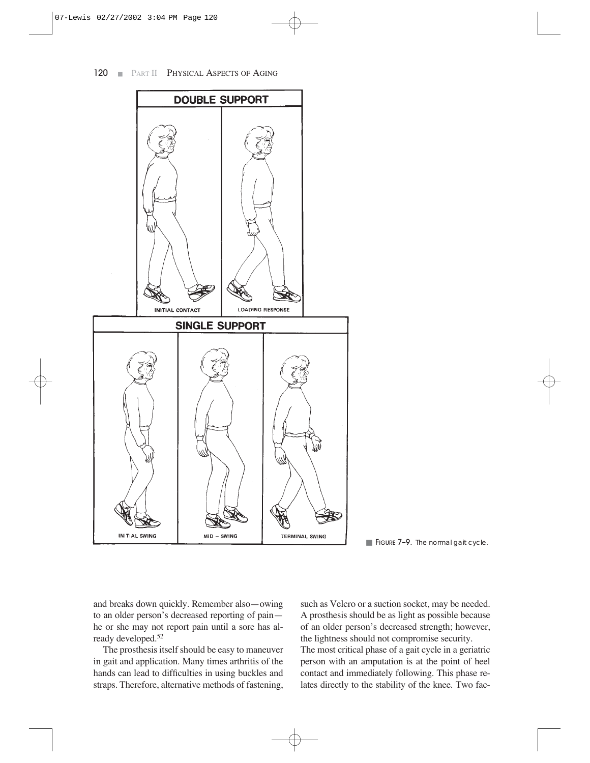

**FIGURE 7-9.** The normal gait cycle.

and breaks down quickly. Remember also—owing to an older person's decreased reporting of pain he or she may not report pain until a sore has already developed.52

The prosthesis itself should be easy to maneuver in gait and application. Many times arthritis of the hands can lead to difficulties in using buckles and straps. Therefore, alternative methods of fastening, such as Velcro or a suction socket, may be needed. A prosthesis should be as light as possible because of an older person's decreased strength; however, the lightness should not compromise security.

The most critical phase of a gait cycle in a geriatric person with an amputation is at the point of heel contact and immediately following. This phase relates directly to the stability of the knee. Two fac-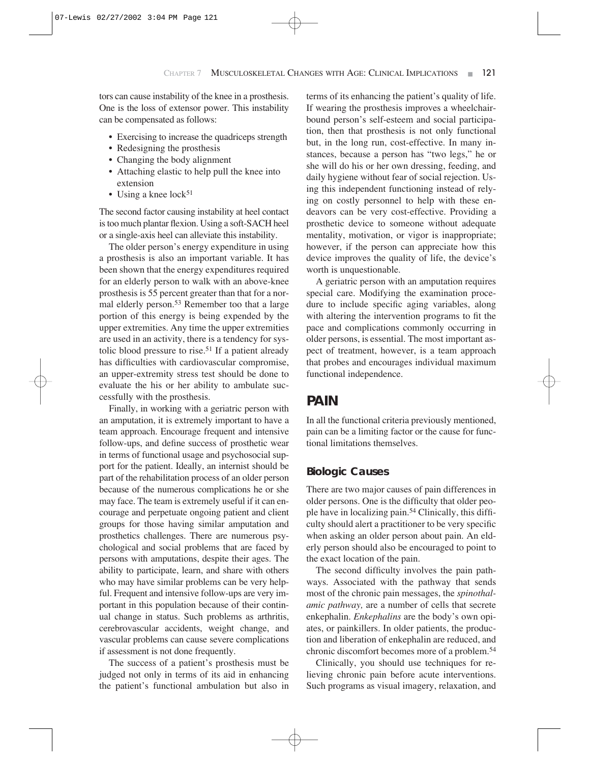tors can cause instability of the knee in a prosthesis. One is the loss of extensor power. This instability can be compensated as follows:

- Exercising to increase the quadriceps strength
- Redesigning the prosthesis
- Changing the body alignment
- Attaching elastic to help pull the knee into extension
- Using a knee  $lock^{51}$

The second factor causing instability at heel contact is too much plantar flexion. Using a soft-SACH heel or a single-axis heel can alleviate this instability.

The older person's energy expenditure in using a prosthesis is also an important variable. It has been shown that the energy expenditures required for an elderly person to walk with an above-knee prosthesis is 55 percent greater than that for a normal elderly person.53 Remember too that a large portion of this energy is being expended by the upper extremities. Any time the upper extremities are used in an activity, there is a tendency for systolic blood pressure to rise.<sup>51</sup> If a patient already has difficulties with cardiovascular compromise, an upper-extremity stress test should be done to evaluate the his or her ability to ambulate successfully with the prosthesis.

Finally, in working with a geriatric person with an amputation, it is extremely important to have a team approach. Encourage frequent and intensive follow-ups, and define success of prosthetic wear in terms of functional usage and psychosocial support for the patient. Ideally, an internist should be part of the rehabilitation process of an older person because of the numerous complications he or she may face. The team is extremely useful if it can encourage and perpetuate ongoing patient and client groups for those having similar amputation and prosthetics challenges. There are numerous psychological and social problems that are faced by persons with amputations, despite their ages. The ability to participate, learn, and share with others who may have similar problems can be very helpful. Frequent and intensive follow-ups are very important in this population because of their continual change in status. Such problems as arthritis, cerebrovascular accidents, weight change, and vascular problems can cause severe complications if assessment is not done frequently.

The success of a patient's prosthesis must be judged not only in terms of its aid in enhancing the patient's functional ambulation but also in terms of its enhancing the patient's quality of life. If wearing the prosthesis improves a wheelchairbound person's self-esteem and social participation, then that prosthesis is not only functional but, in the long run, cost-effective. In many instances, because a person has "two legs," he or she will do his or her own dressing, feeding, and daily hygiene without fear of social rejection. Using this independent functioning instead of relying on costly personnel to help with these endeavors can be very cost-effective. Providing a prosthetic device to someone without adequate mentality, motivation, or vigor is inappropriate; however, if the person can appreciate how this device improves the quality of life, the device's worth is unquestionable.

A geriatric person with an amputation requires special care. Modifying the examination procedure to include specific aging variables, along with altering the intervention programs to fit the pace and complications commonly occurring in older persons, is essential. The most important aspect of treatment, however, is a team approach that probes and encourages individual maximum functional independence.

### **PAIN**

In all the functional criteria previously mentioned, pain can be a limiting factor or the cause for functional limitations themselves.

#### **Biologic Causes**

There are two major causes of pain differences in older persons. One is the difficulty that older people have in localizing pain.54 Clinically, this difficulty should alert a practitioner to be very specific when asking an older person about pain. An elderly person should also be encouraged to point to the exact location of the pain.

The second difficulty involves the pain pathways. Associated with the pathway that sends most of the chronic pain messages, the *spinothalamic pathway,* are a number of cells that secrete enkephalin. *Enkephalins* are the body's own opiates, or painkillers. In older patients, the production and liberation of enkephalin are reduced, and chronic discomfort becomes more of a problem.54

Clinically, you should use techniques for relieving chronic pain before acute interventions. Such programs as visual imagery, relaxation, and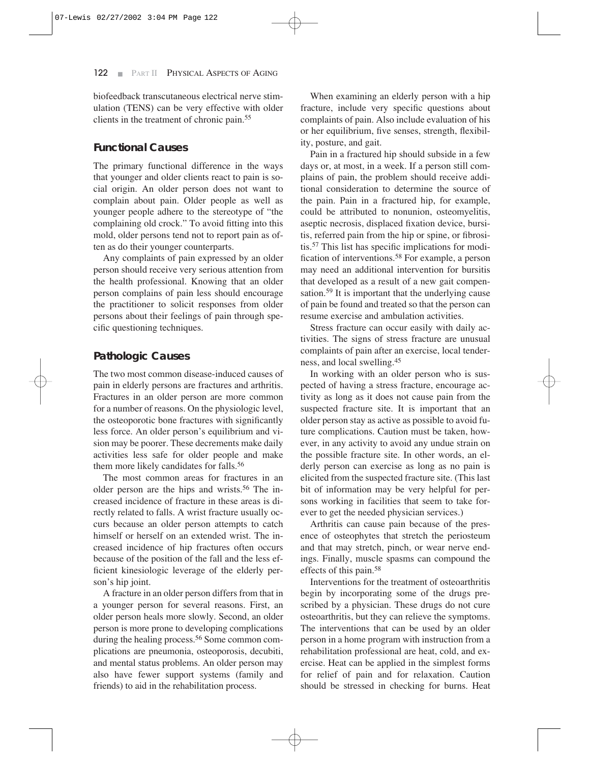biofeedback transcutaneous electrical nerve stimulation (TENS) can be very effective with older clients in the treatment of chronic pain.55

#### **Functional Causes**

The primary functional difference in the ways that younger and older clients react to pain is social origin. An older person does not want to complain about pain. Older people as well as younger people adhere to the stereotype of "the complaining old crock." To avoid fitting into this mold, older persons tend not to report pain as often as do their younger counterparts.

Any complaints of pain expressed by an older person should receive very serious attention from the health professional. Knowing that an older person complains of pain less should encourage the practitioner to solicit responses from older persons about their feelings of pain through specific questioning techniques.

#### **Pathologic Causes**

The two most common disease-induced causes of pain in elderly persons are fractures and arthritis. Fractures in an older person are more common for a number of reasons. On the physiologic level, the osteoporotic bone fractures with significantly less force. An older person's equilibrium and vision may be poorer. These decrements make daily activities less safe for older people and make them more likely candidates for falls.<sup>56</sup>

The most common areas for fractures in an older person are the hips and wrists.56 The increased incidence of fracture in these areas is directly related to falls. A wrist fracture usually occurs because an older person attempts to catch himself or herself on an extended wrist. The increased incidence of hip fractures often occurs because of the position of the fall and the less efficient kinesiologic leverage of the elderly person's hip joint.

A fracture in an older person differs from that in a younger person for several reasons. First, an older person heals more slowly. Second, an older person is more prone to developing complications during the healing process.<sup>56</sup> Some common complications are pneumonia, osteoporosis, decubiti, and mental status problems. An older person may also have fewer support systems (family and friends) to aid in the rehabilitation process.

When examining an elderly person with a hip fracture, include very specific questions about complaints of pain. Also include evaluation of his or her equilibrium, five senses, strength, flexibility, posture, and gait.

Pain in a fractured hip should subside in a few days or, at most, in a week. If a person still complains of pain, the problem should receive additional consideration to determine the source of the pain. Pain in a fractured hip, for example, could be attributed to nonunion, osteomyelitis, aseptic necrosis, displaced fixation device, bursitis, referred pain from the hip or spine, or fibrositis.57 This list has specific implications for modification of interventions.58 For example, a person may need an additional intervention for bursitis that developed as a result of a new gait compensation.59 It is important that the underlying cause of pain be found and treated so that the person can resume exercise and ambulation activities.

Stress fracture can occur easily with daily activities. The signs of stress fracture are unusual complaints of pain after an exercise, local tenderness, and local swelling.45

In working with an older person who is suspected of having a stress fracture, encourage activity as long as it does not cause pain from the suspected fracture site. It is important that an older person stay as active as possible to avoid future complications. Caution must be taken, however, in any activity to avoid any undue strain on the possible fracture site. In other words, an elderly person can exercise as long as no pain is elicited from the suspected fracture site. (This last bit of information may be very helpful for persons working in facilities that seem to take forever to get the needed physician services.)

Arthritis can cause pain because of the presence of osteophytes that stretch the periosteum and that may stretch, pinch, or wear nerve endings. Finally, muscle spasms can compound the effects of this pain.58

Interventions for the treatment of osteoarthritis begin by incorporating some of the drugs prescribed by a physician. These drugs do not cure osteoarthritis, but they can relieve the symptoms. The interventions that can be used by an older person in a home program with instruction from a rehabilitation professional are heat, cold, and exercise. Heat can be applied in the simplest forms for relief of pain and for relaxation. Caution should be stressed in checking for burns. Heat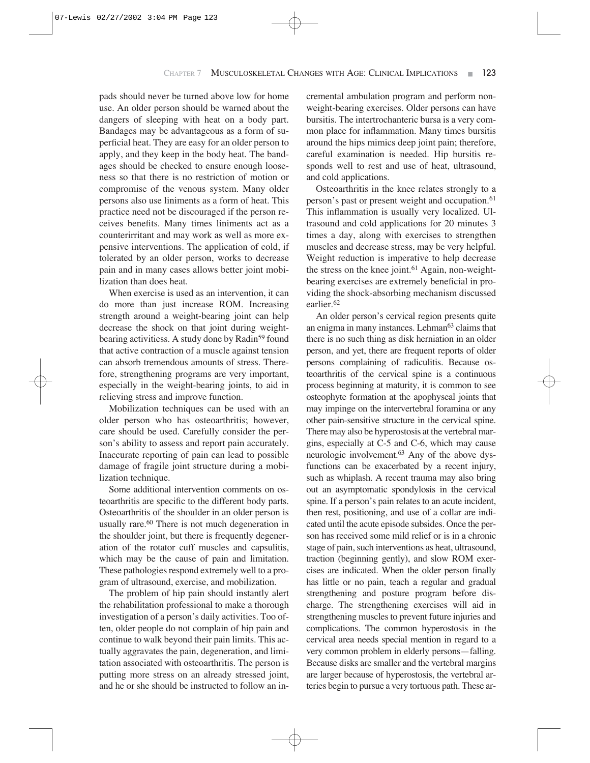pads should never be turned above low for home use. An older person should be warned about the dangers of sleeping with heat on a body part. Bandages may be advantageous as a form of superficial heat. They are easy for an older person to apply, and they keep in the body heat. The bandages should be checked to ensure enough looseness so that there is no restriction of motion or compromise of the venous system. Many older persons also use liniments as a form of heat. This practice need not be discouraged if the person receives benefits. Many times liniments act as a counterirritant and may work as well as more expensive interventions. The application of cold, if tolerated by an older person, works to decrease pain and in many cases allows better joint mobilization than does heat.

When exercise is used as an intervention, it can do more than just increase ROM. Increasing strength around a weight-bearing joint can help decrease the shock on that joint during weightbearing activitiess. A study done by Radin<sup>59</sup> found that active contraction of a muscle against tension can absorb tremendous amounts of stress. Therefore, strengthening programs are very important, especially in the weight-bearing joints, to aid in relieving stress and improve function.

Mobilization techniques can be used with an older person who has osteoarthritis; however, care should be used. Carefully consider the person's ability to assess and report pain accurately. Inaccurate reporting of pain can lead to possible damage of fragile joint structure during a mobilization technique.

Some additional intervention comments on osteoarthritis are specific to the different body parts. Osteoarthritis of the shoulder in an older person is usually rare.<sup>60</sup> There is not much degeneration in the shoulder joint, but there is frequently degeneration of the rotator cuff muscles and capsulitis, which may be the cause of pain and limitation. These pathologies respond extremely well to a program of ultrasound, exercise, and mobilization.

The problem of hip pain should instantly alert the rehabilitation professional to make a thorough investigation of a person's daily activities. Too often, older people do not complain of hip pain and continue to walk beyond their pain limits. This actually aggravates the pain, degeneration, and limitation associated with osteoarthritis. The person is putting more stress on an already stressed joint, and he or she should be instructed to follow an incremental ambulation program and perform nonweight-bearing exercises. Older persons can have bursitis. The intertrochanteric bursa is a very common place for inflammation. Many times bursitis around the hips mimics deep joint pain; therefore, careful examination is needed. Hip bursitis responds well to rest and use of heat, ultrasound, and cold applications.

Osteoarthritis in the knee relates strongly to a person's past or present weight and occupation.<sup>61</sup> This inflammation is usually very localized. Ultrasound and cold applications for 20 minutes 3 times a day, along with exercises to strengthen muscles and decrease stress, may be very helpful. Weight reduction is imperative to help decrease the stress on the knee joint.<sup>61</sup> Again, non-weightbearing exercises are extremely beneficial in providing the shock-absorbing mechanism discussed earlier.62

An older person's cervical region presents quite an enigma in many instances. Lehman<sup>63</sup> claims that there is no such thing as disk herniation in an older person, and yet, there are frequent reports of older persons complaining of radiculitis. Because osteoarthritis of the cervical spine is a continuous process beginning at maturity, it is common to see osteophyte formation at the apophyseal joints that may impinge on the intervertebral foramina or any other pain-sensitive structure in the cervical spine. There may also be hyperostosis at the vertebral margins, especially at C-5 and C-6, which may cause neurologic involvement.63 Any of the above dysfunctions can be exacerbated by a recent injury, such as whiplash. A recent trauma may also bring out an asymptomatic spondylosis in the cervical spine. If a person's pain relates to an acute incident, then rest, positioning, and use of a collar are indicated until the acute episode subsides. Once the person has received some mild relief or is in a chronic stage of pain, such interventions as heat, ultrasound, traction (beginning gently), and slow ROM exercises are indicated. When the older person finally has little or no pain, teach a regular and gradual strengthening and posture program before discharge. The strengthening exercises will aid in strengthening muscles to prevent future injuries and complications. The common hyperostosis in the cervical area needs special mention in regard to a very common problem in elderly persons—falling. Because disks are smaller and the vertebral margins are larger because of hyperostosis, the vertebral arteries begin to pursue a very tortuous path. These ar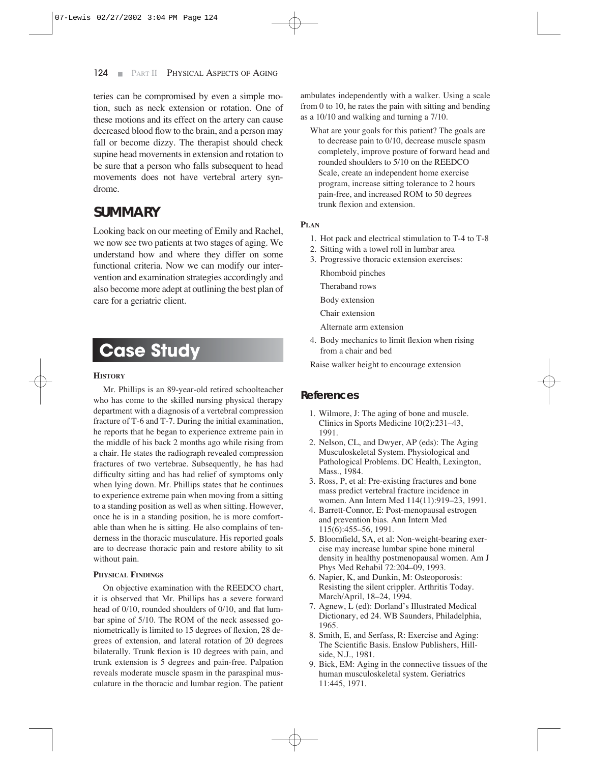teries can be compromised by even a simple motion, such as neck extension or rotation. One of these motions and its effect on the artery can cause decreased blood flow to the brain, and a person may fall or become dizzy. The therapist should check supine head movements in extension and rotation to be sure that a person who falls subsequent to head movements does not have vertebral artery syndrome.

### **SUMMARY**

Looking back on our meeting of Emily and Rachel, we now see two patients at two stages of aging. We understand how and where they differ on some functional criteria. Now we can modify our intervention and examination strategies accordingly and also become more adept at outlining the best plan of care for a geriatric client.

# **Case Study**

#### **HISTORY**

Mr. Phillips is an 89-year-old retired schoolteacher who has come to the skilled nursing physical therapy department with a diagnosis of a vertebral compression fracture of T-6 and T-7. During the initial examination, he reports that he began to experience extreme pain in the middle of his back 2 months ago while rising from a chair. He states the radiograph revealed compression fractures of two vertebrae. Subsequently, he has had difficulty sitting and has had relief of symptoms only when lying down. Mr. Phillips states that he continues to experience extreme pain when moving from a sitting to a standing position as well as when sitting. However, once he is in a standing position, he is more comfortable than when he is sitting. He also complains of tenderness in the thoracic musculature. His reported goals are to decrease thoracic pain and restore ability to sit without pain.

#### **PHYSICAL FINDINGS**

On objective examination with the REEDCO chart, it is observed that Mr. Phillips has a severe forward head of 0/10, rounded shoulders of 0/10, and flat lumbar spine of 5/10. The ROM of the neck assessed goniometrically is limited to 15 degrees of flexion, 28 degrees of extension, and lateral rotation of 20 degrees bilaterally. Trunk flexion is 10 degrees with pain, and trunk extension is 5 degrees and pain-free. Palpation reveals moderate muscle spasm in the paraspinal musculature in the thoracic and lumbar region. The patient

ambulates independently with a walker. Using a scale from 0 to 10, he rates the pain with sitting and bending as a 10/10 and walking and turning a 7/10.

What are your goals for this patient? The goals are to decrease pain to 0/10, decrease muscle spasm completely, improve posture of forward head and rounded shoulders to 5/10 on the REEDCO Scale, create an independent home exercise program, increase sitting tolerance to 2 hours pain-free, and increased ROM to 50 degrees trunk flexion and extension.

#### **PLAN**

- 1. Hot pack and electrical stimulation to T-4 to T-8
- 2. Sitting with a towel roll in lumbar area
- 3. Progressive thoracic extension exercises:
	- Rhomboid pinches
	- Theraband rows
	- Body extension
	- Chair extension
	- Alternate arm extension
- 4. Body mechanics to limit flexion when rising from a chair and bed

Raise walker height to encourage extension

#### **References**

- 1. Wilmore, J: The aging of bone and muscle. Clinics in Sports Medicine 10(2):231–43, 1991.
- 2. Nelson, CL, and Dwyer, AP (eds): The Aging Musculoskeletal System. Physiological and Pathological Problems. DC Health, Lexington, Mass., 1984.
- 3. Ross, P, et al: Pre-existing fractures and bone mass predict vertebral fracture incidence in women. Ann Intern Med 114(11):919–23, 1991.
- 4. Barrett-Connor, E: Post-menopausal estrogen and prevention bias. Ann Intern Med 115(6):455–56, 1991.
- 5. Bloomfield, SA, et al: Non-weight-bearing exercise may increase lumbar spine bone mineral density in healthy postmenopausal women. Am J Phys Med Rehabil 72:204–09, 1993.
- 6. Napier, K, and Dunkin, M: Osteoporosis: Resisting the silent crippler. Arthritis Today. March/April, 18–24, 1994.
- 7. Agnew, L (ed): Dorland's Illustrated Medical Dictionary, ed 24. WB Saunders, Philadelphia, 1965.
- 8. Smith, E, and Serfass, R: Exercise and Aging: The Scientific Basis. Enslow Publishers, Hillside, N.J., 1981.
- 9. Bick, EM: Aging in the connective tissues of the human musculoskeletal system. Geriatrics 11:445, 1971.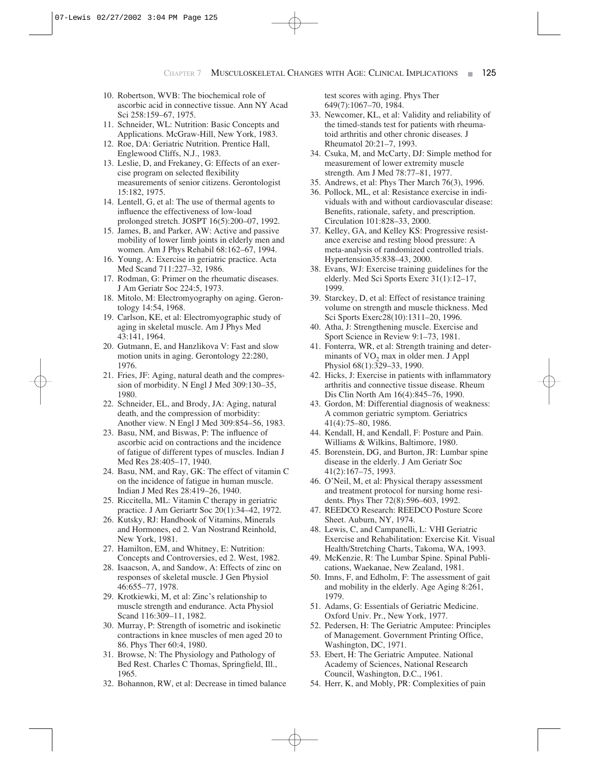- 10. Robertson, WVB: The biochemical role of ascorbic acid in connective tissue. Ann NY Acad Sci 258:159–67, 1975.
- 11. Schneider, WL: Nutrition: Basic Concepts and Applications. McGraw-Hill, New York, 1983.
- 12. Roe, DA: Geriatric Nutrition. Prentice Hall, Englewood Cliffs, N.J., 1983.
- 13. Leslie, D, and Frekaney, G: Effects of an exercise program on selected flexibility measurements of senior citizens. Gerontologist 15:182, 1975.
- 14. Lentell, G, et al: The use of thermal agents to influence the effectiveness of low-load prolonged stretch. JOSPT 16(5):200–07, 1992.
- 15. James, B, and Parker, AW: Active and passive mobility of lower limb joints in elderly men and women. Am J Phys Rehabil 68:162–67, 1994.
- 16. Young, A: Exercise in geriatric practice. Acta Med Scand 711:227–32, 1986.
- 17. Rodman, G: Primer on the rheumatic diseases. J Am Geriatr Soc 224:5, 1973.
- 18. Mitolo, M: Electromyography on aging. Gerontology 14:54, 1968.
- 19. Carlson, KE, et al: Electromyographic study of aging in skeletal muscle. Am J Phys Med 43:141, 1964.
- 20. Gutmann, E, and Hanzlikova V: Fast and slow motion units in aging. Gerontology 22:280, 1976.
- 21. Fries, JF: Aging, natural death and the compression of morbidity. N Engl J Med 309:130–35, 1980.
- 22. Schneider, EL, and Brody, JA: Aging, natural death, and the compression of morbidity: Another view. N Engl J Med 309:854–56, 1983.
- 23. Basu, NM, and Biswas, P: The influence of ascorbic acid on contractions and the incidence of fatigue of different types of muscles. Indian J Med Res 28:405–17, 1940.
- 24. Basu, NM, and Ray, GK: The effect of vitamin C on the incidence of fatigue in human muscle. Indian J Med Res 28:419–26, 1940.
- 25. Riccitella, ML: Vitamin C therapy in geriatric practice. J Am Geriartr Soc 20(1):34–42, 1972.
- 26. Kutsky, RJ: Handbook of Vitamins, Minerals and Hormones, ed 2. Van Nostrand Reinhold, New York, 1981.
- 27. Hamilton, EM, and Whitney, E: Nutrition: Concepts and Controversies, ed 2. West, 1982.
- 28. Isaacson, A, and Sandow, A: Effects of zinc on responses of skeletal muscle. J Gen Physiol 46:655–77, 1978.
- 29. Krotkiewki, M, et al: Zinc's relationship to muscle strength and endurance. Acta Physiol Scand 116:309–11, 1982.
- 30. Murray, P: Strength of isometric and isokinetic contractions in knee muscles of men aged 20 to 86. Phys Ther 60:4, 1980.
- 31. Browse, N: The Physiology and Pathology of Bed Rest. Charles C Thomas, Springfield, Ill., 1965.
- 32. Bohannon, RW, et al: Decrease in timed balance

test scores with aging. Phys Ther 649(7):1067–70, 1984.

- 33. Newcomer, KL, et al: Validity and reliability of the timed-stands test for patients with rheumatoid arthritis and other chronic diseases. J Rheumatol 20:21–7, 1993.
- 34. Csuka, M, and McCarty, DJ: Simple method for measurement of lower extremity muscle strength. Am J Med 78:77–81, 1977.
- 35. Andrews, et al: Phys Ther March 76(3), 1996.
- 36. Pollock, ML, et al: Resistance exercise in individuals with and without cardiovascular disease: Benefits, rationale, safety, and prescription. Circulation 101:828–33, 2000.
- 37. Kelley, GA, and Kelley KS: Progressive resistance exercise and resting blood pressure: A meta-analysis of randomized controlled trials. Hypertension35:838–43, 2000.
- 38. Evans, WJ: Exercise training guidelines for the elderly. Med Sci Sports Exerc 31(1):12–17, 1999.
- 39. Starckey, D, et al: Effect of resistance training volume on strength and muscle thickness. Med Sci Sports Exerc28(10):1311–20, 1996.
- 40. Atha, J: Strengthening muscle. Exercise and Sport Science in Review 9:1–73, 1981.
- 41. Fonterra, WR, et al: Strength training and determinants of  $VO<sub>2</sub>$  max in older men. J Appl Physiol 68(1):329–33, 1990.
- 42. Hicks, J: Exercise in patients with inflammatory arthritis and connective tissue disease. Rheum Dis Clin North Am 16(4):845–76, 1990.
- 43. Gordon, M: Differential diagnosis of weakness: A common geriatric symptom. Geriatrics 41(4):75–80, 1986.
- 44. Kendall, H, and Kendall, F: Posture and Pain. Williams & Wilkins, Baltimore, 1980.
- 45. Borenstein, DG, and Burton, JR: Lumbar spine disease in the elderly. J Am Geriatr Soc 41(2):167–75, 1993.
- 46. O'Neil, M, et al: Physical therapy assessment and treatment protocol for nursing home residents. Phys Ther 72(8):596–603, 1992.
- 47. REEDCO Research: REEDCO Posture Score Sheet. Auburn, NY, 1974.
- 48. Lewis, C, and Campanelli, L: VHI Geriatric Exercise and Rehabilitation: Exercise Kit. Visual Health/Stretching Charts, Takoma, WA, 1993.
- 49. McKenzie, R: The Lumbar Spine. Spinal Publications, Waekanae, New Zealand, 1981.
- 50. Imns, F, and Edholm, F: The assessment of gait and mobility in the elderly. Age Aging 8:261, 1979.
- 51. Adams, G: Essentials of Geriatric Medicine. Oxford Univ. Pr., New York, 1977.
- 52. Pedersen, H: The Geriatric Amputee: Principles of Management. Government Printing Office, Washington, DC, 1971.
- 53. Ebert, H: The Geriatric Amputee. National Academy of Sciences, National Research Council, Washington, D.C., 1961.
- 54. Herr, K, and Mobly, PR: Complexities of pain